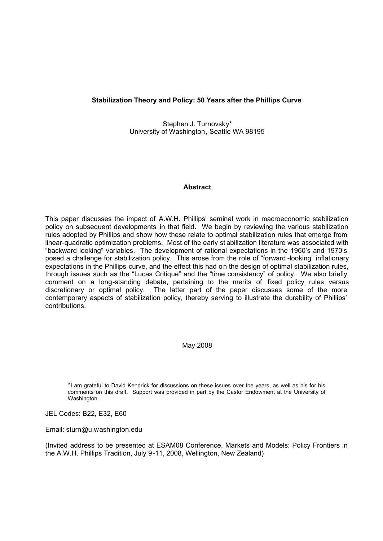## **Stabilization Theory and Policy: 50 Years after the Phillips Curve**

Stephen J. Turnovsky\* University of Washington, Seattle WA 98195

## **Abstract**

This paper discusses the impact of A.W.H. Phillips' seminal work in macroeconomic stabilization policy on subsequent developments in that field. We begin by reviewing the various stabilization rules adopted by Phillips and show how these relate to optimal stabilization rules that emerge from linear-quadratic optimization problems. Most of the early st abilization literature was associated with "backward looking" variables. The development of rational expectations in the 1960's and 1970's posed a challenge for stabilization policy. This arose from the role of "forward -looking" inflationary expectations in the Phillips curve, and the effect this had on the design of optimal stabilization rules, through issues such as the "Lucas Critique" and the "time consistency" of policy. We also briefly comment on a long-standing debate, pertaining to the merits of fixed policy rules versus discretionary or optimal policy. The latter part of the paper discusses some of the more contemporary aspects of stabilization policy, thereby serving to illustrate the durability of Phillips' contributions.

## May 2008

\*I am grateful to David Kendrick for discussions on these issues over the years, as well as his for his comments on this draft. Support was provided in part by the Castor Endowment at the University of Washington.

JEL Codes: B22, E32, E60

Email: sturn@u.washington.edu

(Invited address to be presented at ESAM08 Conference, Markets and Models: Policy Frontiers in the A.W.H. Phillips Tradition, July 9-11, 2008, Wellington, New Zealand)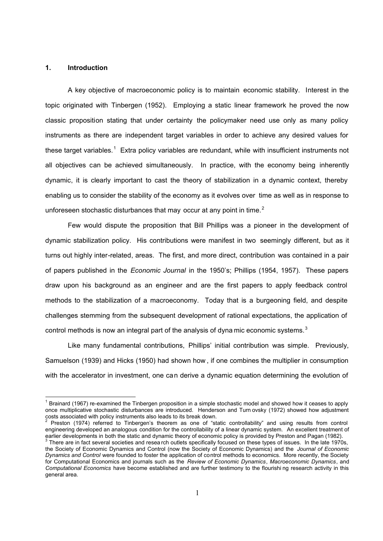## **1. Introduction**

 $\overline{1}$ 

A key objective of macroeconomic policy is to maintain economic stability. Interest in the topic originated with Tinbergen (1952). Employing a static linear framework he proved the now classic proposition stating that under certainty the policymaker need use only as many policy instruments as there are independent target variables in order to achieve any desired values for these target variables.<sup>1</sup> Extra policy variables are redundant, while with insufficient instruments not all objectives can be achieved simultaneously. In practice, with the economy being inherently dynamic, it is clearly important to cast the theory of stabilization in a dynamic context, thereby enabling us to consider the stability of the economy as it evolves over time as well as in response to unforeseen stochastic disturbances that may occur at any point in time. $2^2$ 

Few would dispute the proposition that Bill Phillips was a pioneer in the development of dynamic stabilization policy. His contributions were manifest in two seemingly different, but as it turns out highly inter-related, areas. The first, and more direct, contribution was contained in a pair of papers published in the *Economic Journal* in the 1950's; Phillips (1954, 1957). These papers draw upon his background as an engineer and are the first papers to apply feedback control methods to the stabilization of a macroeconomy. Today that is a burgeoning field, and despite challenges stemming from the subsequent development of rational expectations, the application of control methods is now an integral part of the analysis of dyna mic economic systems.<sup>3</sup>

Like many fundamental contributions, Phillips' initial contribution was simple. Previously, Samuelson (1939) and Hicks (1950) had shown how , if one combines the multiplier in consumption with the accelerator in investment, one can derive a dynamic equation determining the evolution of

<sup>&</sup>lt;sup>1</sup> Brainard (1967) re-examined the Tinbergen proposition in a simple stochastic model and showed how it ceases to apply once multiplicative stochastic disturbances are introduced. Henderson and Turn ovsky (1972) showed how adjustment costs associated with policy instruments also leads to its break down.<br><sup>2</sup> Preaten (1974), referred to Tipherson's theorem as ano of "at

Preston (1974) referred to Tinbergen's theorem as one of "static controllability" and using results from control engineering developed an analogous condition for the controllability of a linear dynamic system. An excellent treatment of earlier developments in both the static and dynamic theory of economic policy is provided by Preston and Pagan (1982).

 $3$  There are in fact several societies and resea rch outlets specifically focused on these types of issues. In the late 1970s, the Society of Economic Dynamics and Control (now the Society of Economic Dynamics) and the *Journal of Economic Dynamics and Control* were founded to foster the application of control methods to economics. More recently, the Society for Computational Economics and journals such as the *Review of Economic Dynamics*, *Macroeconomic Dynamics*, and *Computational Economics* have become established and are further testimony to the flourishi ng research activity in this general area.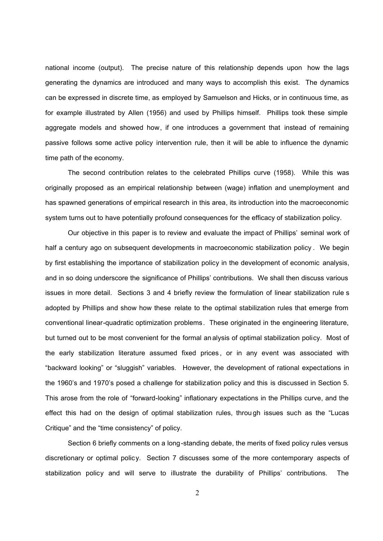national income (output). The precise nature of this relationship depends upon how the lags generating the dynamics are introduced and many ways to accomplish this exist. The dynamics can be expressed in discrete time, as employed by Samuelson and Hicks, or in continuous time, as for example illustrated by Allen (1956) and used by Phillips himself. Phillips took these simple aggregate models and showed how, if one introduces a government that instead of remaining passive follows some active policy intervention rule, then it will be able to influence the dynamic time path of the economy.

The second contribution relates to the celebrated Phillips curve (1958). While this was originally proposed as an empirical relationship between (wage) inflation and unemployment and has spawned generations of empirical research in this area, its introduction into the macroeconomic system turns out to have potentially profound consequences for the efficacy of stabilization policy.

Our objective in this paper is to review and evaluate the impact of Phillips' seminal work of half a century ago on subsequent developments in macroeconomic stabilization policy . We begin by first establishing the importance of stabilization policy in the development of economic analysis, and in so doing underscore the significance of Phillips' contributions. We shall then discuss various issues in more detail. Sections 3 and 4 briefly review the formulation of linear stabilization rule s adopted by Phillips and show how these relate to the optimal stabilization rules that emerge from conventional linear-quadratic optimization problems. These originated in the engineering literature, but turned out to be most convenient for the formal analysis of optimal stabilization policy. Most of the early stabilization literature assumed fixed prices , or in any event was associated with "backward looking" or "sluggish" variables. However, the development of rational expectations in the 1960's and 1970's posed a challenge for stabilization policy and this is discussed in Section 5. This arose from the role of "forward-looking" inflationary expectations in the Phillips curve, and the effect this had on the design of optimal stabilization rules, throu gh issues such as the "Lucas Critique" and the "time consistency" of policy.

Section 6 briefly comments on a long-standing debate, the merits of fixed policy rules versus discretionary or optimal policy. Section 7 discusses some of the more contemporary aspects of stabilization policy and will serve to illustrate the durability of Phillips' contributions. The

2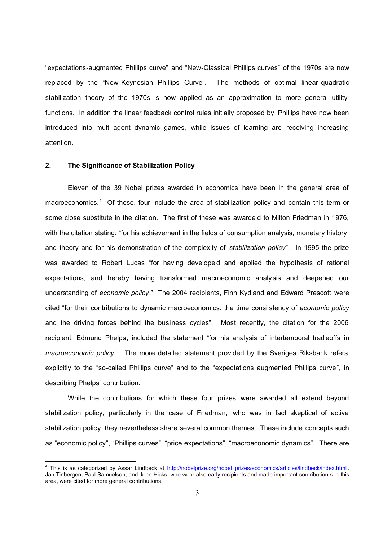"expectations-augmented Phillips curve" and "New-Classical Phillips curves" of the 1970s are now replaced by the "New-Keynesian Phillips Curve". The methods of optimal linear-quadratic stabilization theory of the 1970s is now applied as an approximation to more general utility functions. In addition the linear feedback control rules initially proposed by Phillips have now been introduced into multi-agent dynamic games, while issues of learning are receiving increasing attention.

## **2. The Significance of Stabilization Policy**

Eleven of the 39 Nobel prizes awarded in economics have been in the general area of macroeconomics.<sup>4</sup> Of these, four include the area of stabilization policy and contain this term or some close substitute in the citation. The first of these was awarde d to Milton Friedman in 1976, with the citation stating: "for his achievement in the fields of consumption analysis, monetary history and theory and for his demonstration of the complexity of *stabilization policy*". In 1995 the prize was awarded to Robert Lucas "for having developed and applied the hypothesis of rational expectations, and hereby having transformed macroeconomic analysis and deepened our understanding of *economic policy*." The 2004 recipients, Finn Kydland and Edward Prescott were cited "for their contributions to dynamic macroeconomics: the time consi stency of *economic policy* and the driving forces behind the bus iness cycles". Most recently, the citation for the 2006 recipient, Edmund Phelps, included the statement "for his analysis of intertemporal trad eoffs in *macroeconomic policy*". The more detailed statement provided by the Sveriges Riksbank refers explicitly to the "so-called Phillips curve" and to the "expectations augmented Phillips curve", in describing Phelps' contribution.

While the contributions for which these four prizes were awarded all extend beyond stabilization policy, particularly in the case of Friedman, who was in fact skeptical of active stabilization policy, they nevertheless share several common themes. These include concepts such as "economic policy", "Phillips curves", "price expectations", "macroeconomic dynamics". There are

we allo this is as categorized by Assar Lindbeck at http://nobelprize.org/nobel\_prizes/economics/articles/lindbeck/index.html . Jan Tinbergen, Paul Samuelson, and John Hicks, who were also early recipients and made important contribution s in this area, were cited for more general contributions.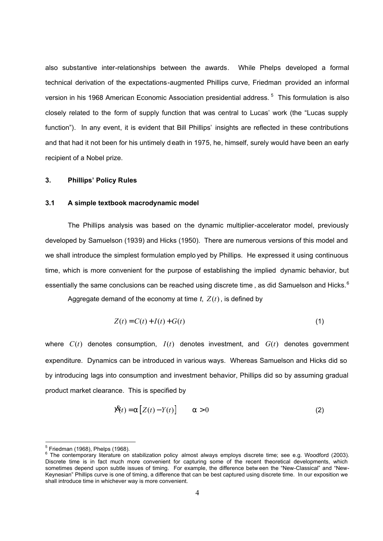also substantive inter-relationships between the awards. While Phelps developed a formal technical derivation of the expectations-augmented Phillips curve, Friedman provided an informal version in his 1968 American Economic Association presidential address.<sup>5</sup> This formulation is also closely related to the form of supply function that was central to Lucas' work (the "Lucas supply function"). In any event, it is evident that Bill Phillips' insights are reflected in these contributions and that had it not been for his untimely death in 1975, he, himself, surely would have been an early recipient of a Nobel prize.

## **3. Phillips' Policy Rules**

## **3.1 A simple textbook macrodynamic model**

The Phillips analysis was based on the dynamic multiplier-accelerator model, previously developed by Samuelson (1939) and Hicks (1950). There are numerous versions of this model and we shall introduce the simplest formulation emplo yed by Phillips. He expressed it using continuous time, which is more convenient for the purpose of establishing the implied dynamic behavior, but essentially the same conclusions can be reached using discrete time , as did Samuelson and Hicks.  $^6$ 

Aggregate demand of the economy at time  $t$ ,  $Z(t)$ , is defined by

$$
Z(t) = C(t) + I(t) + G(t)
$$
\n
$$
(1)
$$

where *C*(*t*) denotes consumption, *I*(*t*) denotes investment, and *G*(*t*) denotes government expenditure. Dynamics can be introduced in various ways. Whereas Samuelson and Hicks did so by introducing lags into consumption and investment behavior, Phillips did so by assuming gradual product market clearance. This is specified by

$$
\hat{\mathbf{X}}(t) = a [Z(t) - Y(t)] \qquad a > 0 \tag{2}
$$

<sup>&</sup>lt;u>.</u><br><sup>5</sup> Friedman (1968), Phelps (1968).

<sup>&</sup>lt;sup>6</sup> The contemporary literature on stabilization policy almost always employs discrete time; see e.g. Woodford (2003). Discrete time is in fact much more convenient for capturing some of the recent theoretical developments, which sometimes depend upon subtle issues of timing. For example, the difference betw een the "New-Classical" and "New-Keynesian" Phillips curve is one of timing, a difference that can be best captured using discrete time. In our exposition we shall introduce time in whichever way is more convenient.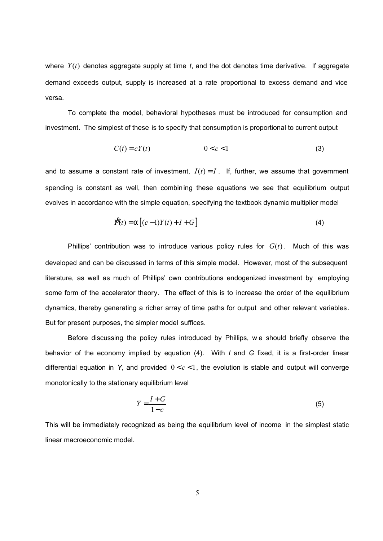where *Y*(*t*) denotes aggregate supply at time *t*, and the dot denotes time derivative. If aggregate demand exceeds output, supply is increased at a rate proportional to excess demand and vice versa.

To complete the model, behavioral hypotheses must be introduced for consumption and investment. The simplest of these is to specify that consumption is proportional to current output

$$
C(t) = cY(t) \qquad \qquad 0 < c < 1 \tag{3}
$$

and to assume a constant rate of investment,  $I(t) = I$ . If, further, we assume that government spending is constant as well, then combining these equations we see that equilibrium output evolves in accordance with the simple equation, specifying the textbook dynamic multiplier model

$$
\mathbf{\hat{X}}(t) = a\left[ (c-1)Y(t) + I + G \right] \tag{4}
$$

Phillips' contribution was to introduce various policy rules for  $G(t)$ . Much of this was developed and can be discussed in terms of this simple model. However, most of the subsequent literature, as well as much of Phillips' own contributions endogenized investment by employing some form of the accelerator theory. The effect of this is to increase the order of the equilibrium dynamics, thereby generating a richer array of time paths for output and other relevant variables. But for present purposes, the simpler model suffices.

Before discussing the policy rules introduced by Phillips, we should briefly observe the behavior of the economy implied by equation (4). With *I* and *G* fixed, it is a first-order linear differential equation in *Y*, and provided  $0 < c < 1$ , the evolution is stable and output will converge monotonically to the stationary equilibrium level

$$
\overline{Y} = \frac{I + G}{1 - c} \tag{5}
$$

This will be immediately recognized as being the equilibrium level of income in the simplest static linear macroeconomic model.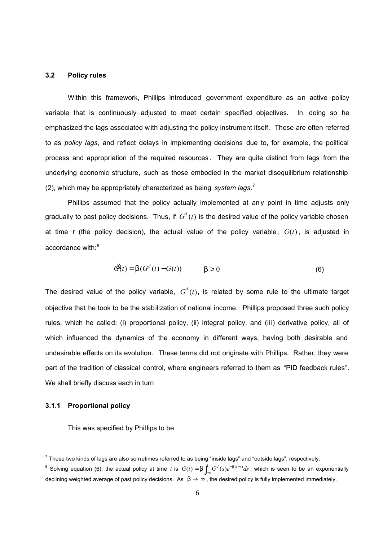## **3.2 Policy rules**

Within this framework, Phillips introduced government expenditure as an active policy variable that is continuously adjusted to meet certain specified objectives. In doing so he emphasized the lags associated with adjusting the policy instrument itself. These are often referred to as *policy lags*, and reflect delays in implementing decisions due to, for example, the political process and appropriation of the required resources . They are quite distinct from lags from the underlying economic structure, such as those embodied in the market disequilibrium relationship (2), which may be appropriately characterized as being *system lags*. 7

Phillips assumed that the policy actually implemented at any point in time adjusts only gradually to past policy decisions. Thus, if  $G<sup>d</sup>(t)$  is the desired value of the policy variable chosen at time *t* (the policy decision), the actual value of the policy variable, *G*(*t*), is adjusted in accordance with: $8$ 

$$
\mathfrak{G}(t) = b(G^d(t) - G(t)) \qquad b > 0 \tag{6}
$$

The desired value of the policy variable,  $G<sup>d</sup>(t)$ , is related by some rule to the ultimate target objective that he took to be the stabilization of national income. Phillips proposed three such policy rules, which he called: (i) proportional policy, (ii) integral policy, and (ii i) derivative policy, all of which influenced the dynamics of the economy in different ways, having both desirable and undesirable effects on its evolution. These terms did not originate with Phillips. Rather, they were part of the tradition of classical control, where engineers referred to them as "PID feedback rules". We shall briefly discuss each in turn

## **3.1.1 Proportional policy**

This was specified by Phillips to be

 $^7$  These two kinds of lags are also sometimes referred to as being "inside lags" and "outside lags", respectively.

<sup>&</sup>lt;sup>8</sup> Solving equation (6), the actual policy at time *t* is  $G(t) = b \int_0^t G^d(s) e^{-b(t-s)} ds$  $= b \int_{-\infty}^{\infty} G^d(s) e^{-b(t-s)} ds$ , which is seen to be an exponentially declining weighted average of past policy decisions. As *b* → ∞, the desired policy is fully implemented immediately.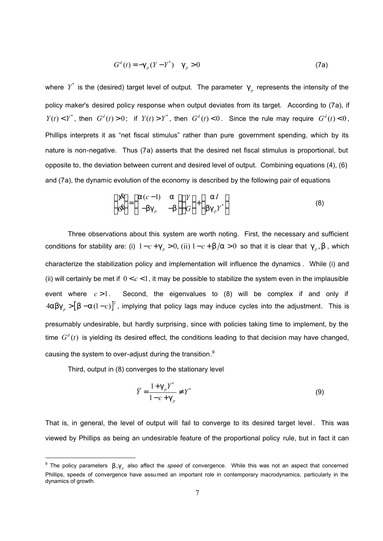$$
Gd(t) = -\mathfrak{g}_p(Y - Y^*) \quad \mathfrak{g}_p > 0 \tag{7a}
$$

where  $Y^*$  is the (desired) target level of output. The parameter  $g_{\rho}$  represents the intensity of the policy maker's desired policy response when output deviates from its target. According to (7a), if  $Y(t) < Y^*$ , then  $G^d(t) > 0$ ; if  $Y(t) > Y^*$ , then  $G^d(t) < 0$ . Since the rule may require  $G^d(t) < 0$ , Phillips interprets it as "net fiscal stimulus" rather than pure government spending, which by its nature is non-negative. Thus (7a) asserts that the desired net fiscal stimulus is proportional, but opposite to, the deviation between current and desired level of output. Combining equations (4), (6) and (7a), the dynamic evolution of the economy is described by the following pair of equations

$$
\begin{pmatrix} \mathbf{p} & \\ \mathbf{p} & \\ \mathbf{p} & \end{pmatrix} = \begin{pmatrix} a(c-1) & a \\ -bg_p & -b \end{pmatrix} \begin{pmatrix} Y \\ G \end{pmatrix} + \begin{pmatrix} aI \\ bg_p Y^* \end{pmatrix} \tag{8}
$$

Three observations about this system are worth noting. First, the necessary and sufficient conditions for stability are: (i)  $1 - c + g_p > 0$ , (ii)  $1 - c + b/a > 0$  so that it is clear that  $g_p$ , b, which characterize the stabilization policy and implementation will influence the dynamics . While (i) and (ii) will certainly be met if  $0 < c < 1$ , it may be possible to stabilize the system even in the implausible event where  $c > 1$ . Second, the eigenvalues to  $(8)$  will be complex if and only if  $4$ abg<sub>p</sub> >  $\left[b - a(1-c)\right]^2$ , implying that policy lags may induce cycles into the adjustment. This is presumably undesirable, but hardly surprising, since with policies taking time to implement, by the time  $G^d(t)$  is yielding its desired effect, the conditions leading to that decision may have changed, causing the system to over-adjust during the transition.<sup>9</sup>

Third, output in (8) converges to the stationary level

$$
\overline{Y} = \frac{1 + g_p Y^*}{1 - c + g_p} \neq Y^*
$$
\n(9)

That is, in general, the level of output will fail to converge to its desired target level. This was viewed by Phillips as being an undesirable feature of the proportional policy rule, but in fact it can

<sup>&</sup>lt;sup>9</sup> The policy parameters b,g<sub>p</sub> also affect the *speed* of convergence. While this was not an aspect that concerned Phillips, speeds of convergence have assumed an important role in contemporary macrodynamics, particularly in the dynamics of growth.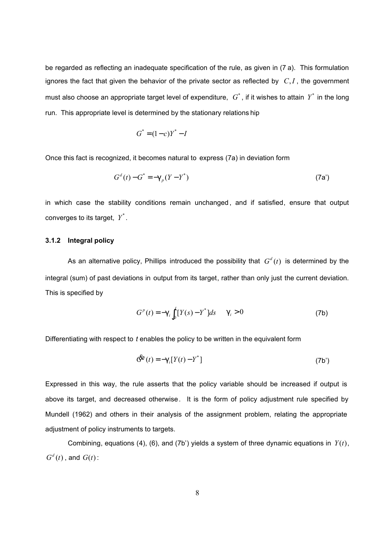be regarded as reflecting an inadequate specification of the rule, as given in (7 a). This formulation ignores the fact that given the behavior of the private sector as reflected by *C*,*I* , the government must also choose an appropriate target level of expenditure,  $|G^*|$ , if it wishes to attain  $|Y^*|$  in the long run. This appropriate level is determined by the stationary relations hip

$$
G^* = (1-c)Y^* - I
$$

Once this fact is recognized, it becomes natural to express (7a) in deviation form

$$
Gd(t) - G* = -gp(Y - Y*)
$$
 (7a')

in which case the stability conditions remain unchanged, and if satisfied, ensure that output converges to its target, *Y* \* .

## **3.1.2 Integral policy**

As an alternative policy, Phillips introduced the possibility that  $G^d(t)$  is determined by the integral (sum) of past deviations in output from its target, rather than only just the current deviation. This is specified by

$$
G^{p}(t) = -g_{i} \int_{0}^{t} [Y(s) - Y^{*}] ds \t g_{i} > 0 \t (7b)
$$

Differentiating with respect to *t* enables the policy to be written in the equivalent form

$$
\mathbf{G}^{\mathbf{F}}(t) = -\mathbf{g}_i[Y(t) - Y^*] \tag{7b'}
$$

Expressed in this way, the rule asserts that the policy variable should be increased if output is above its target, and decreased otherwise. It is the form of policy adjustment rule specified by Mundell (1962) and others in their analysis of the assignment problem, relating the appropriate adjustment of policy instruments to targets.

Combining, equations (4), (6), and (7b') yields a system of three dynamic equations in *Y*(*t*),  $G^d(t)$ , and  $G(t)$ :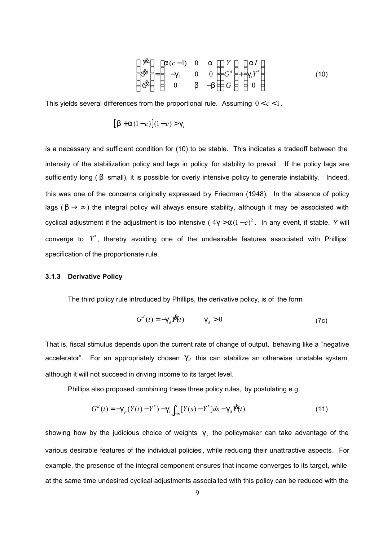$$
\begin{pmatrix} \mathbf{p} & \\ \mathbf{p} & \\ \mathbf{p} & \\ \mathbf{p} & \\ \mathbf{p} & \\ \mathbf{p} & \\ \mathbf{p} & \\ \mathbf{p} & \\ \mathbf{p} & \\ \mathbf{p} & \\ \mathbf{p} & \\ \mathbf{p} & \\ \mathbf{p} & \\ \mathbf{p} & \\ \mathbf{p} & \\ \mathbf{p} & \\ \mathbf{p} & \\ \mathbf{p} & \\ \mathbf{p} & \\ \mathbf{p} & \\ \mathbf{p} & \\ \mathbf{p} & \\ \mathbf{p} & \\ \mathbf{p} & \\ \mathbf{p} & \\ \mathbf{p} & \\ \mathbf{p} & \\ \mathbf{p} & \\ \mathbf{p} & \\ \mathbf{p} & \\ \mathbf{p} & \\ \mathbf{p} & \\ \mathbf{p} & \\ \mathbf{p} & \\ \mathbf{p} & \\ \mathbf{p} & \\ \mathbf{p} & \\ \mathbf{p} & \\ \mathbf{p} & \\ \mathbf{p} & \\ \mathbf{p} & \\ \mathbf{p} & \\ \mathbf{p} & \\ \mathbf{p} & \\ \mathbf{p} & \\ \mathbf{p} & \\ \mathbf{p} & \\ \mathbf{p} & \\ \mathbf{p} & \\ \mathbf{p} & \\ \mathbf{p} & \\ \mathbf{p} & \\ \mathbf{p} & \\ \mathbf{p} & \\ \mathbf{p} & \\ \mathbf{p} & \\ \mathbf{p} & \\ \mathbf{p} & \\ \mathbf{p} & \\ \mathbf{p} & \\ \mathbf{p} & \\ \mathbf{p} & \\ \mathbf{p} & \\ \mathbf{p} & \\ \mathbf{p} & \\ \mathbf{p} & \\ \mathbf{p} & \\ \mathbf{p} & \\ \mathbf{p} & \\ \mathbf{p} & \\ \mathbf{p} & \\ \mathbf{p} & \\ \mathbf{p} & \\ \mathbf{p} & \\ \mathbf{p} & \\ \mathbf{
$$

This yields several differences from the proportional rule. Assuming 0 < *c* <1,

$$
[b + a(1-c)](1-c) > g_i
$$

is a necessary and sufficient condition for (10) to be stable. This indicates a tradeoff between the intensity of the stabilization policy and lags in policy for stability to prevail. If the policy lags are sufficiently long (b small), it is possible for overly intensive policy to generate instability. Indeed, this was one of the concerns originally expressed b y Friedman (1948). In the absence of policy lags ( $b \rightarrow \infty$ ) the integral policy will always ensure stability, although it may be associated with cyclical adjustment if the adjustment is too intensive ( <sup>2</sup> 4*g* >*a*(1− *c*) . In any event, if stable, *Y* will converge to  $Y^*$ , thereby avoiding one of the undesirable features associated with Phillips' specification of the proportionate rule.

#### **3.1.3 Derivative Policy**

The third policy rule introduced by Phillips, the derivative policy, is of the form

$$
Gd(t) = -gd \mathbf{\hat{X}}(t) \qquad gd > 0 \qquad (7c)
$$

That is, fiscal stimulus depends upon the current rate of change of output, behaving like a "negative accelerator". For an appropriately chosen  $g_d$  this can stabilize an otherwise unstable system, although it will not succeed in driving income to its target level.

Phillips also proposed combining these three policy rules, by postulating e.g.

$$
G^{d}(t) = -g_{p}(Y(t) - Y^{*}) - g_{i} \int_{-\infty}^{t} [Y(s) - Y^{*}] ds - g_{d} \mathbf{X}(t)
$$
\n(11)

showing how by the judicious choice of weights  $g_j$  the policymaker can take advantage of the various desirable features of the individual policies , while reducing their unattractive aspects. For example, the presence of the integral component ensures that income converges to its target, while at the same time undesired cyclical adjustments associa ted with this policy can be reduced with the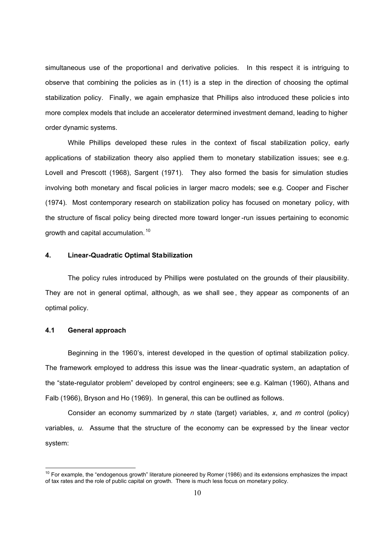simultaneous use of the proportional and derivative policies. In this respect it is intriguing to observe that combining the policies as in (11) is a step in the direction of choosing the optimal stabilization policy. Finally, we again emphasize that Phillips also introduced these policies into more complex models that include an accelerator determined investment demand, leading to higher order dynamic systems.

While Phillips developed these rules in the context of fiscal stabilization policy, early applications of stabilization theory also applied them to monetary stabilization issues; see e.g. Lovell and Prescott (1968), Sargent (1971). They also formed the basis for simulation studies involving both monetary and fiscal policies in larger macro models; see e.g. Cooper and Fischer (1974). Most contemporary research on stabilization policy has focused on monetary policy, with the structure of fiscal policy being directed more toward longer -run issues pertaining to economic growth and capital accumulation. <sup>10</sup>

## **4. Linear-Quadratic Optimal Stabilization**

The policy rules introduced by Phillips were postulated on the grounds of their plausibility. They are not in general optimal, although, as we shall see , they appear as components of an optimal policy.

## **4.1 General approach**

 $\overline{1}$ 

Beginning in the 1960's, interest developed in the question of optimal stabilization policy. The framework employed to address this issue was the linear -quadratic system, an adaptation of the "state-regulator problem" developed by control engineers; see e.g. Kalman (1960), Athans and Falb (1966), Bryson and Ho (1969). In general, this can be outlined as follows.

Consider an economy summarized by *n* state (target) variables, *x*, and *m* control (policy) variables, *u*. Assume that the structure of the economy can be expressed by the linear vector system:

 $10$  For example, the "endogenous growth" literature pioneered by Romer (1986) and its extensions emphasizes the impact of tax rates and the role of public capital on growth. There is much less focus on monetar y policy.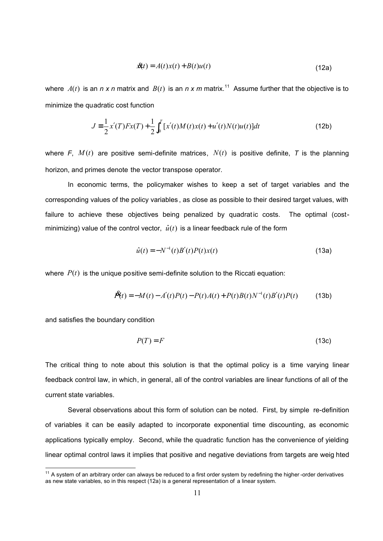$$
\mathcal{R}(t) = A(t)x(t) + B(t)u(t)
$$
\n(12a)

where  $A(t)$  is an *n x n* matrix and  $B(t)$  is an *n x m* matrix.<sup>11</sup> Assume further that the objective is to minimize the quadratic cost function

$$
J = \frac{1}{2}x'(T)Fx(T) + \frac{1}{2}\int_0^T [x'(t)M(t)x(t) + u'(t)N(t)u(t)]dt
$$
\n(12b)

where *F*,  $M(t)$  are positive semi-definite matrices,  $N(t)$  is positive definite, *T* is the planning horizon, and primes denote the vector transpose operator.

In economic terms, the policymaker wishes to keep a set of target variables and the corresponding values of the policy variables , as close as possible to their desired target values, with failure to achieve these objectives being penalized by quadratic costs. The optimal (costminimizing) value of the control vector,  $\hat{u}(t)$  is a linear feedback rule of the form

$$
\hat{u}(t) = -N^{-1}(t)B'(t)P(t)x(t)
$$
\n(13a)

where  $P(t)$  is the unique positive semi-definite solution to the Riccati equation:

$$
\mathbf{A}(t) = -M(t) - A'(t)P(t) - P(t)A(t) + P(t)B(t)N^{-1}(t)B'(t)P(t)
$$
(13b)

and satisfies the boundary condition

 $\overline{1}$ 

$$
P(T) = F \tag{13c}
$$

The critical thing to note about this solution is that the optimal policy is a time varying linear feedback control law, in which, in general, all of the control variables are linear functions of all of the current state variables.

Several observations about this form of solution can be noted. First, by simple re-definition of variables it can be easily adapted to incorporate exponential time discounting, as economic applications typically employ. Second, while the quadratic function has the convenience of yielding linear optimal control laws it implies that positive and negative deviations from targets are weig hted

 $11$  A system of an arbitrary order can always be reduced to a first order system by redefining the higher -order derivatives as new state variables, so in this respect (12a) is a general representation of a linear system.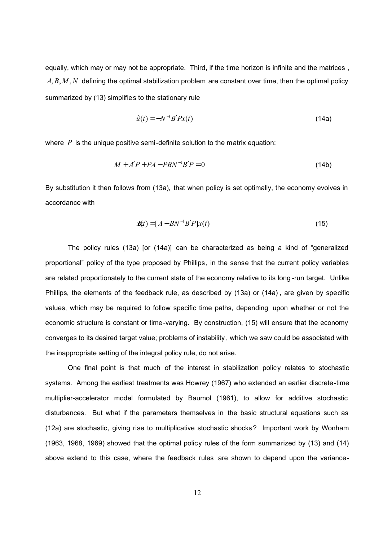equally, which may or may not be appropriate. Third, if the time horizon is infinite and the matrices. *A*, *B*, *M* , *N* defining the optimal stabilization problem are constant over time, then the optimal policy summarized by (13) simplifies to the stationary rule

$$
\hat{u}(t) = -N^{-1}B'Px(t) \tag{14a}
$$

where *P* is the unique positive semi-definite solution to the matrix equation:

$$
M + A'P + PA - PBN^{-1}B'P = 0 \tag{14b}
$$

By substitution it then follows from (13a), that when policy is set optimally, the economy evolves in accordance with

$$
\mathbf{\hat{x}}(t) = [A - BN^{-1}B'P]x(t) \tag{15}
$$

The policy rules (13a) [or (14a)] can be characterized as being a kind of "generalized proportional" policy of the type proposed by Phillips , in the sense that the current policy variables are related proportionately to the current state of the economy relative to its long -run target. Unlike Phillips, the elements of the feedback rule, as described by (13a) or (14a) , are given by specific values, which may be required to follow specific time paths, depending upon whether or not the economic structure is constant or time-varying. By construction, (15) will ensure that the economy converges to its desired target value; problems of instability , which we saw could be associated with the inappropriate setting of the integral policy rule, do not arise.

One final point is that much of the interest in stabilization policy relates to stochastic systems. Among the earliest treatments was Howrey (1967) who extended an earlier discrete-time multiplier-accelerator model formulated by Baumol (1961), to allow for additive stochastic disturbances. But what if the parameters themselves in the basic structural equations such as (12a) are stochastic, giving rise to multiplicative stochastic shocks? Important work by Wonham (1963, 1968, 1969) showed that the optimal policy rules of the form summarized by (13) and (14) above extend to this case, where the feedback rules are shown to depend upon the variance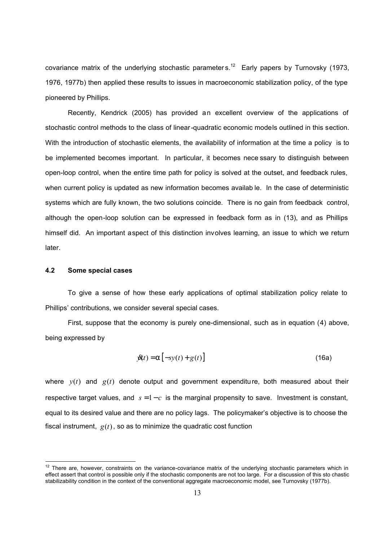covariance matrix of the underlying stochastic parameter s.<sup>12</sup> Early papers by Turnovsky (1973, 1976, 1977b) then applied these results to issues in macroeconomic stabilization policy, of the type pioneered by Phillips.

Recently, Kendrick (2005) has provided an excellent overview of the applications of stochastic control methods to the class of linear-quadratic economic models outlined in this section. With the introduction of stochastic elements, the availability of information at the time a policy is to be implemented becomes important. In particular, it becomes nece ssary to distinguish between open-loop control, when the entire time path for policy is solved at the outset, and feedback rules, when current policy is updated as new information becomes availab le. In the case of deterministic systems which are fully known, the two solutions coincide. There is no gain from feedback control, although the open-loop solution can be expressed in feedback form as in (13), and as Phillips himself did. An important aspect of this distinction involves learning, an issue to which we return later.

## **4.2 Some special cases**

l

To give a sense of how these early applications of optimal stabilization policy relate to Phillips' contributions, we consider several special cases.

First, suppose that the economy is purely one-dimensional, such as in equation (4) above, being expressed by

$$
\mathfrak{R}(t) = a\left[-sy(t) + g(t)\right] \tag{16a}
$$

where  $y(t)$  and  $g(t)$  denote output and government expenditure, both measured about their respective target values, and  $s = 1 - c$  is the marginal propensity to save. Investment is constant, equal to its desired value and there are no policy lags. The policymaker's objective is to choose the fiscal instrument,  $g(t)$ , so as to minimize the quadratic cost function

 $12$  There are, however, constraints on the variance-covariance matrix of the underlying stochastic parameters which in effect assert that control is possible only if the stochastic components are not too large. For a discussion of this sto chastic stabilizability condition in the context of the conventional aggregate macroeconomic model, see Turnovsky (1977b).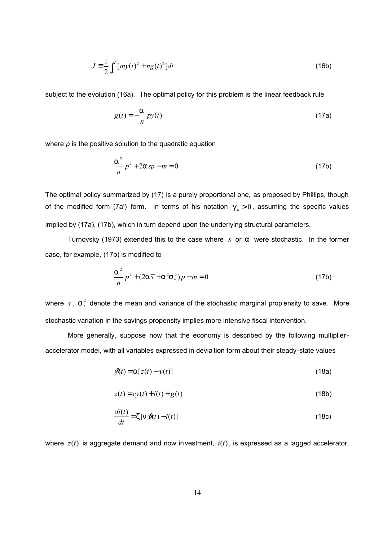$$
J = \frac{1}{2} \int_0^\infty [my(t)^2 + ng(t)^2] dt
$$
 (16b)

subject to the evolution (16a). The optimal policy for this problem is the linear feedback rule

$$
g(t) = -\frac{a}{n}py(t)
$$
 (17a)

where *p* is the positive solution to the quadratic equation

$$
\frac{a^2}{n}p^2 + 2a\,sp - m = 0\tag{17b}
$$

The optimal policy summarized by (17) is a purely proportional one, as proposed by Phillips, though of the modified form (7a') form. In terms of his notation  $g_p > 0$ , assuming the specific values implied by (17a), (17b), which in turn depend upon the underlying structural parameters.

Turnovsky (1973) extended this to the case where *s* or *a* were stochastic. In the former case, for example, (17b) is modified to

$$
\frac{a^{2}}{n}p^{2} + (2a\,\overline{s} + a^{2}s^{2})p - m = 0
$$
 (17b)

where  $\bar{s}$ ,  $s_s^2$  denote the mean and variance of the stochastic marginal prop ensity to save. More stochastic variation in the savings propensity implies more intensive fiscal intervention.

More generally, suppose now that the economy is described by the following multiplieraccelerator model, with all variables expressed in devia tion form about their steady-state values

$$
\mathbf{\hat{y}}(t) = \mathbf{a}\left[z(t) - y(t)\right] \tag{18a}
$$

$$
z(t) = cy(t) + i(t) + g(t)
$$
\n(18b)

$$
\frac{di(t)}{dt} = Z \left[ \ln \mathcal{L}(t) - i(t) \right]
$$
 (18c)

where *z*(*t*) is aggregate demand and now investment, *i*(*t*), is expressed as a lagged accelerator,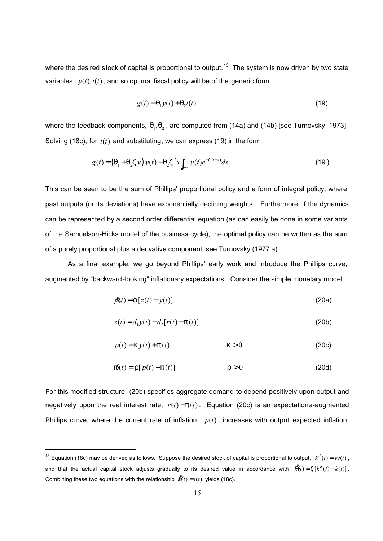where the desired stock of capital is proportional to output.  $13$  The system is now driven by two state variables,  $y(t)$ ,  $i(t)$ , and so optimal fiscal policy will be of the generic form

$$
g(t) = q_1 y(t) + q_2 i(t)
$$
\n(19)

where the feedback components,  $q_1, q_2, q_3$  are computed from (14a) and (14b) [see Turnovsky, 1973]. Solving (18c), for *i*(*t*) and substituting, we can express (19) in the form

$$
g(t) = (q_1 + q_2 z \nu) y(t) - q_2 z^2 \nu \int_{-\infty}^{t} y(t) e^{-z(t-s)} ds
$$
 (19')

This can be seen to be the sum of Phillips' proportional policy and a form of integral policy, where past outputs (or its deviations) have exponentially declining weights. Furthermore, if the dynamics can be represented by a second order differential equation (as can easily be done in some variants of the Samuelson-Hicks model of the business cycle), the optimal policy can be written as the sum of a purely proportional plus a derivative component; see Turnovsky (1977 a)

As a final example, we go beyond Phillips' early work and introduce the Phillips curve, augmented by "backward-looking" inflationary expectations. Consider the simple monetary model:

$$
\mathcal{B}(t) = a[z(t) - y(t)] \tag{20a}
$$

$$
z(t) = d_1 y(t) - d_2 [r(t) - p(t)]
$$
\n(20b)

$$
p(t) = k y(t) + p(t) \qquad k > 0 \qquad (20c)
$$

$$
\mathbf{p}\mathbf{X}(t) = \mathbf{r}[p(t) - p(t)] \quad \mathbf{r} > 0 \tag{20d}
$$

For this modified structure, (20b) specifies aggregate demand to depend positively upon output and negatively upon the real interest rate,  $r(t) - p(t)$ . Equation (20c) is an expectations-augmented Phillips curve, where the current rate of inflation,  $p(t)$ , increases with output expected inflation,

<sup>&</sup>lt;sup>13</sup> Equation (18c) may be derived as follows. Suppose the desired stock of capital is proportional to output,  $k^d(t) = vy(t)$ , and that the actual capital stock adjusts gradually to its desired value in accordance with  $\hat{R}(t) = z [ k^d (t) - k(t) ]$ . Combining these two equations with the relationship  $\hat{k}(t) = i(t)$  yields (18c).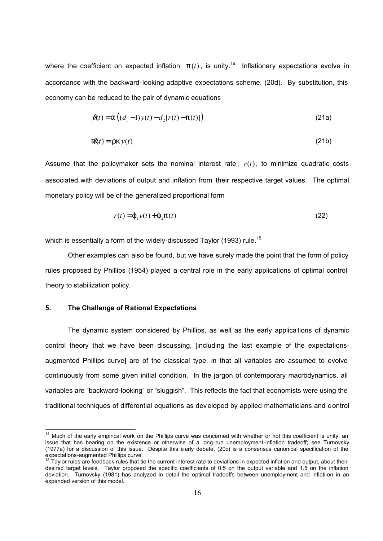where the coefficient on expected inflation,  $p(t)$ , is unity.<sup>14</sup> Inflationary expectations evolve in accordance with the backward-looking adaptive expectations scheme, (20d). By substitution, this economy can be reduced to the pair of dynamic equations

$$
\mathcal{R}(t) = a ((d_1 - 1) y(t) - d_2 [r(t) - p(t)])
$$
\n(21a)

$$
\mathbf{p}\mathbf{X}(t) = \mathbf{r}\mathbf{k}\,\mathbf{y}(t) \tag{21b}
$$

Assume that the policymaker sets the nominal interest rate,  $r(t)$ , to minimize quadratic costs associated with deviations of output and inflation from their respective target values. The optimal monetary policy will be of the generalized proportional form

$$
r(t) = \mathbf{j}_{1} y(t) + \mathbf{j}_{2} \mathbf{p}(t)
$$
\n(22)

which is essentially a form of the widely-discussed Taylor (1993) rule.<sup>15</sup>

Other examples can also be found, but we have surely made the point that the form of policy rules proposed by Phillips (1954) played a central role in the early applications of optimal control theory to stabilization policy.

## **5. The Challenge of Rational Expectations**

 $\overline{1}$ 

The dynamic system considered by Phillips, as well as the early applications of dynamic control theory that we have been discussing, [including the last example of the expectationsaugmented Phillips curve] are of the classical type, in that all variables are assumed to evolve continuously from some given initial condition. In the jargon of contemporary macrodynamics, all variables are "backward-looking" or "sluggish". This reflects the fact that economists were using the traditional techniques of differential equations as dev eloped by applied mathematicians and c ontrol

<sup>&</sup>lt;sup>14</sup> Much of the early empirical work on the Phillips curve was concerned with whether or not this coefficient is unity, an issue that has bearing on the existence or otherwise of a long-run unemployment-inflation tradeoff; see Turnovsky (1977a) for a discussion of this issue. Despite this e arly debate, (20c) is a consensus canonical specification of the

expectations-augmented Phillips curve.<br><sup>15</sup> Taylor rules are feedback rules that tie the current interest rate to deviations in expected inflation and output, about their desired target levels. Taylor proposed the specific coefficients of 0.5 on the output variable and 1.5 on the inflation deviation. Turnovsky (1981) has analyzed in detail the optimal tradeoffs between unemployment and inflati on in an expanded version of this model.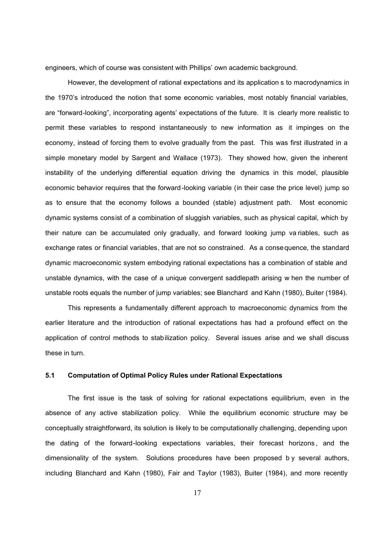engineers, which of course was consistent with Phillips' own academic background.

However, the development of rational expectations and its application s to macrodynamics in the 1970's introduced the notion that some economic variables, most notably financial variables, are "forward-looking", incorporating agents' expectations of the future. It is clearly more realistic to permit these variables to respond instantaneously to new information as it impinges on the economy, instead of forcing them to evolve gradually from the past. This was first illustrated in a simple monetary model by Sargent and Wallace (1973). They showed how, given the inherent instability of the underlying differential equation driving the dynamics in this model, plausible economic behavior requires that the forward-looking variable (in their case the price level) jump so as to ensure that the economy follows a bounded (stable) adjustment path. Most economic dynamic systems consist of a combination of sluggish variables, such as physical capital, which by their nature can be accumulated only gradually, and forward looking jump va riables, such as exchange rates or financial variables, that are not so constrained. As a consequence, the standard dynamic macroeconomic system embodying rational expectations has a combination of stable and unstable dynamics, with the case of a unique convergent saddlepath arising w hen the number of unstable roots equals the number of jump variables; see Blanchard and Kahn (1980), Buiter (1984).

This represents a fundamentally different approach to macroeconomic dynamics from the earlier literature and the introduction of rational expectations has had a profound effect on the application of control methods to stabilization policy. Several issues arise and we shall discuss these in turn.

## **5.1 Computation of Optimal Policy Rules under Rational Expectations**

The first issue is the task of solving for rational expectations equilibrium, even in the absence of any active stabilization policy. While the equilibrium economic structure may be conceptually straightforward, its solution is likely to be computationally challenging, depending upon the dating of the forward-looking expectations variables, their forecast horizons , and the dimensionality of the system. Solutions procedures have been proposed b y several authors, including Blanchard and Kahn (1980), Fair and Taylor (1983), Buiter (1984), and more recently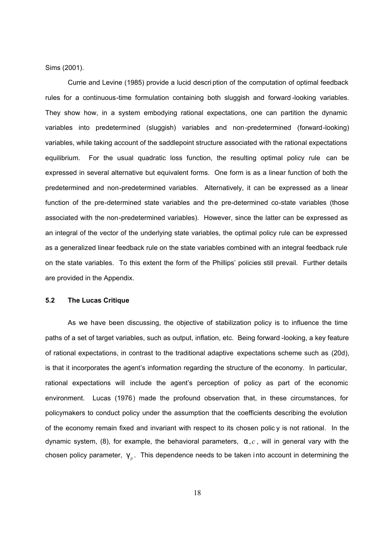Sims (2001).

Currie and Levine (1985) provide a lucid descri ption of the computation of optimal feedback rules for a continuous-time formulation containing both sluggish and forward -looking variables. They show how, in a system embodying rational expectations, one can partition the dynamic variables into predetermined (sluggish) variables and non-predetermined (forward-looking) variables, while taking account of the saddlepoint structure associated with the rational expectations equilibrium. For the usual quadratic loss function, the resulting optimal policy rule can be expressed in several alternative but equivalent forms. One form is as a linear function of both the predetermined and non-predetermined variables. Alternatively, it can be expressed as a linear function of the pre-determined state variables and the pre-determined co-state variables (those associated with the non-predetermined variables). However, since the latter can be expressed as an integral of the vector of the underlying state variables, the optimal policy rule can be expressed as a generalized linear feedback rule on the state variables combined with an integral feedback rule on the state variables. To this extent the form of the Phillips' policies still prevail. Further details are provided in the Appendix.

## **5.2 The Lucas Critique**

As we have been discussing, the objective of stabilization policy is to influence the time paths of a set of target variables, such as output, inflation, etc. Being forward -looking, a key feature of rational expectations, in contrast to the traditional adaptive expectations scheme such as (20d), is that it incorporates the agent's information regarding the structure of the economy. In particular, rational expectations will include the agent's perception of policy as part of the economic environment. Lucas (1976) made the profound observation that, in these circumstances, for policymakers to conduct policy under the assumption that the coefficients describing the evolution of the economy remain fixed and invariant with respect to its chosen polic  $y$  is not rational. In the dynamic system, (8), for example, the behavioral parameters,  $a,c$ , will in general vary with the chosen policy parameter,  $g_{p}$ . This dependence needs to be taken into account in determining the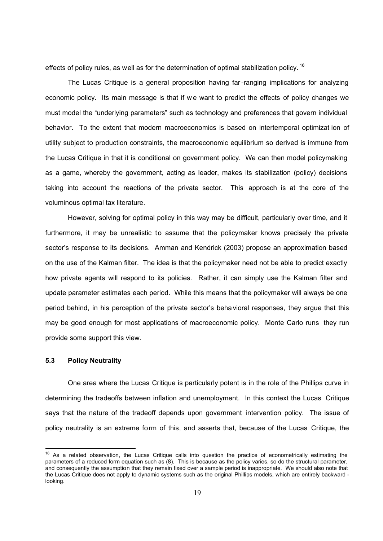effects of policy rules, as well as for the determination of optimal stabilization policy.  $^{16}$ 

The Lucas Critique is a general proposition having far-ranging implications for analyzing economic policy. Its main message is that if we want to predict the effects of policy changes we must model the "underlying parameters" such as technology and preferences that govern individual behavior. To the extent that modern macroeconomics is based on intertemporal optimizat ion of utility subject to production constraints, the macroeconomic equilibrium so derived is immune from the Lucas Critique in that it is conditional on government policy. We can then model policymaking as a game, whereby the government, acting as leader, makes its stabilization (policy) decisions taking into account the reactions of the private sector. This approach is at the core of the voluminous optimal tax literature.

However, solving for optimal policy in this way may be difficult, particularly over time, and it furthermore, it may be unrealistic to assume that the policymaker knows precisely the private sector's response to its decisions. Amman and Kendrick (2003) propose an approximation based on the use of the Kalman filter. The idea is that the policymaker need not be able to predict exactly how private agents will respond to its policies. Rather, it can simply use the Kalman filter and update parameter estimates each period. While this means that the policymaker will always be one period behind, in his perception of the private sector's beha vioral responses, they argue that this may be good enough for most applications of macroeconomic policy. Monte Carlo runs they run provide some support this view.

## **5.3 Policy Neutrality**

One area where the Lucas Critique is particularly potent is in the role of the Phillips curve in determining the tradeoffs between inflation and unemployment. In this context the Lucas Critique says that the nature of the tradeoff depends upon government intervention policy. The issue of policy neutrality is an extreme form of this, and asserts that, because of the Lucas Critique, the

  $16$  As a related observation, the Lucas Critique calls into question the practice of econometrically estimating the parameters of a reduced form equation such as (8). This is because as the policy varies, so do the structural parameter, and consequently the assumption that they remain fixed over a sample period is inappropriate. We should also note that the Lucas Critique does not apply to dynamic systems such as the original Phillips models, which are entirely backward looking.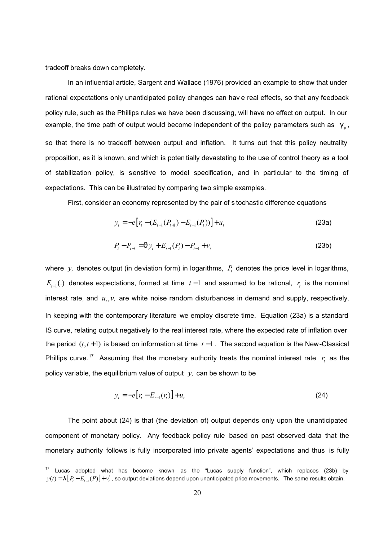tradeoff breaks down completely.

 $\overline{\phantom{a}}$ 

In an influential article, Sargent and Wallace (1976) provided an example to show that under rational expectations only unanticipated policy changes can hav e real effects, so that any feedback policy rule, such as the Phillips rules we have been discussing, will have no effect on output. In our example, the time path of output would become independent of the policy parameters such as  $\mathfrak{g}_{p}$ , so that there is no tradeoff between output and inflation. It turns out that this policy neutrality proposition, as it is known, and which is poten tially devastating to the use of control theory as a tool of stabilization policy, is sensitive to model specification, and in particular to the timing of expectations. This can be illustrated by comparing two simple examples.

First, consider an economy represented by the pair of s tochastic difference equations

$$
y_t = -e[r_t - (E_{t-1}(P_{t+1}) - E_{t-1}(P_t))] + u_t
$$
\n(23a)

$$
P_t - P_{t-1} = q y_t + E_{t-1}(P_t) - P_{t-1} + v_t
$$
\n(23b)

where  $y_t$  denotes output (in deviation form) in logarithms,  $P_t$  denotes the price level in logarithms,  $E_{t-1}(.)$  denotes expectations, formed at time  $t-1$  and assumed to be rational,  $r_t$  is the nominal interest rate, and  $u_t, v_t$  are white noise random disturbances in demand and supply, respectively. In keeping with the contemporary literature we employ discrete time. Equation (23a) is a standard IS curve, relating output negatively to the real interest rate, where the expected rate of inflation over the period (*t*,*t* +1) is based on information at time *t* −1. The second equation is the New-Classical Phillips curve.<sup>17</sup> Assuming that the monetary authority treats the nominal interest rate  $r<sub>i</sub>$  as the policy variable, the equilibrium value of output  $y_t^+$  can be shown to be

$$
y_t = -e[r_t - E_{t-1}(r_t)] + u_t
$$
\n(24)

The point about (24) is that (the deviation of) output depends only upon the unanticipated component of monetary policy. Any feedback policy rule based on past observed data that the monetary authority follows is fully incorporated into private agents' expectations and thus is fully

 $17$  Lucas adopted what has become known as the "Lucas supply function", which replaces (23b) by  $y(t) = \lfloor \left[ P_t - E_{t-1}(P) \right] + v'_t$ , so output deviations depend upon unanticipated price movements. The same results obtain.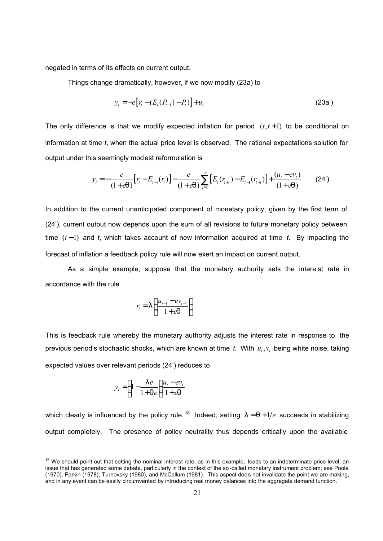negated in terms of its effects on current output.

Things change dramatically, however, if we now modify (23a) to

$$
y_t = -e[r_t - (E_t(P_{t+1}) - P_t)] + u_t
$$
\n(23a')

The only difference is that we modify expected inflation for period  $(t, t+1)$  to be conditional on information at time *t*, when the actual price level is observed. The rational expectations solution for output under this seemingly modest reformulation is

$$
y_{t} = -\frac{e}{(1+eq)} [r_{t} - E_{t-1}(r_{t})] - \frac{e}{(1+eq)} \sum_{i=1}^{\infty} [E_{t}(r_{t+i}) - E_{t-1}(r_{t+i})] + \frac{(u_{t} - ev_{t})}{(1+eq)}
$$
(24')

In addition to the current unanticipated component of monetary policy, given by the first term of (24'), current output now depends upon the sum of all revisions to future monetary policy between time (*t* −1) and *t*, which takes account of new information acquired at time *t*. By impacting the forecast of inflation a feedback policy rule will now exert an impact on current output.

As a simple example, suppose that the monetary authority sets the intere st rate in accordance with the rule

$$
r_{t} = \left( \frac{u_{t-1} - ev_{t-1}}{1 + eq} \right)
$$

This is feedback rule whereby the monetary authority adjusts the interest rate in response to the previous period's stochastic shocks, which are known at time *t*. With  $u_t, v_t$  being white noise, taking expected values over relevant periods (24') reduces to

$$
y_t = \left(1 - \frac{1}{1 + qe}\right) \frac{u_t - ev_t}{1 + eq}
$$

l

which clearly is influenced by the policy rule.<sup>18</sup> Indeed, setting  $l = q + 1/e$  succeeds in stabilizing output completely. The presence of policy neutrality thus depends critically upon the available

 $18$  We should point out that setting the nominal interest rate, as in this example, leads to an indeterminate price level, an issue that has generated some debate, particularly in the context of the so -called monetary instrument problem; see Poole (1970), Parkin (1978), Turnovsky (1980), and McCallum (1981). This aspect does not invalidate the point we are making, and in any event can be easily circumvented by introducing real money balances into the aggregate demand function.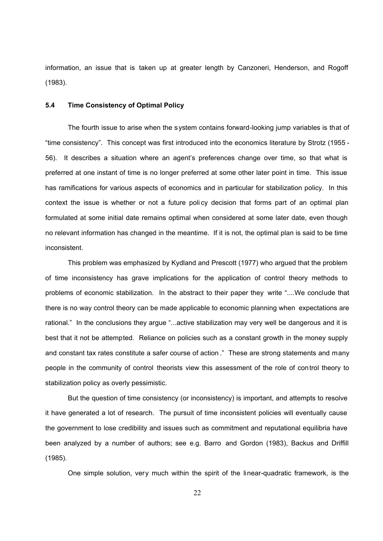information, an issue that is taken up at greater length by Canzoneri, Henderson, and Rogoff (1983).

## **5.4 Time Consistency of Optimal Policy**

The fourth issue to arise when the system contains forward-looking jump variables is that of "time consistency". This concept was first introduced into the economics literature by Strotz (1955 - 56). It describes a situation where an agent's preferences change over time, so that what is preferred at one instant of time is no longer preferred at some other later point in time. This issue has ramifications for various aspects of economics and in particular for stabilization policy. In this context the issue is whether or not a future poli cy decision that forms part of an optimal plan formulated at some initial date remains optimal when considered at some later date, even though no relevant information has changed in the meantime. If it is not, the optimal plan is said to be time inconsistent.

This problem was emphasized by Kydland and Prescott (1977) who argued that the problem of time inconsistency has grave implications for the application of control theory methods to problems of economic stabilization. In the abstract to their paper they write "....We conclude that there is no way control theory can be made applicable to economic planning when expectations are rational." In the conclusions they argue "...active stabilization may very well be dangerous and it is best that it not be attempted. Reliance on policies such as a constant growth in the money supply and constant tax rates constitute a safer course of action ." These are strong statements and many people in the community of control theorists view this assessment of the role of control theory to stabilization policy as overly pessimistic.

But the question of time consistency (or inconsistency) is important, and attempts to resolve it have generated a lot of research. The pursuit of time inconsistent policies will eventually cause the government to lose credibility and issues such as commitment and reputational equilibria have been analyzed by a number of authors; see e.g. Barro and Gordon (1983), Backus and Driffill (1985).

One simple solution, very much within the spirit of the linear-quadratic framework, is the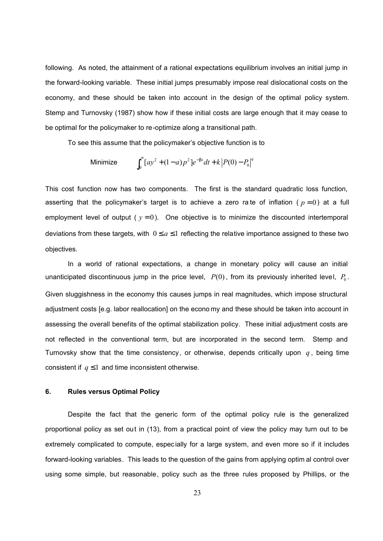following. As noted, the attainment of a rational expectations equilibrium involves an initial jump in the forward-looking variable. These initial jumps presumably impose real dislocational costs on the economy, and these should be taken into account in the design of the optimal policy system. Stemp and Turnovsky (1987) show how if these initial costs are large enough that it may cease to be optimal for the policymaker to re-optimize along a transitional path.

To see this assume that the policymaker's objective function is to

Minimize 
$$
\int_0^\infty [ay^2 + (1-a)p^2]e^{-bt}dt + k|P(0) - P_0|^q
$$

This cost function now has two components. The first is the standard quadratic loss function, asserting that the policymaker's target is to achieve a zero rate of inflation ( $p=0$ ) at a full employment level of output ( $y = 0$ ). One objective is to minimize the discounted intertemporal deviations from these targets, with  $0 \le a \le 1$  reflecting the relative importance assigned to these two objectives.

In a world of rational expectations, a change in monetary policy will cause an initial unanticipated discontinuous jump in the price level,  $P(0)$ , from its previously inherited level,  $P_0$ . Given sluggishness in the economy this causes jumps in real magnitudes, which impose structural adjustment costs [e.g. labor reallocation] on the econo my and these should be taken into account in assessing the overall benefits of the optimal stabilization policy. These initial adjustment costs are not reflected in the conventional term, but are incorporated in the second term. Stemp and Turnovsky show that the time consistency, or otherwise, depends critically upon *q* , being time consistent if  $q \leq 1$  and time inconsistent otherwise.

## **6. Rules versus Optimal Policy**

Despite the fact that the generic form of the optimal policy rule is the generalized proportional policy as set out in (13), from a practical point of view the policy may turn out to be extremely complicated to compute, espec ially for a large system, and even more so if it includes forward-looking variables. This leads to the question of the gains from applying optim al control over using some simple, but reasonable, policy such as the three rules proposed by Phillips, or the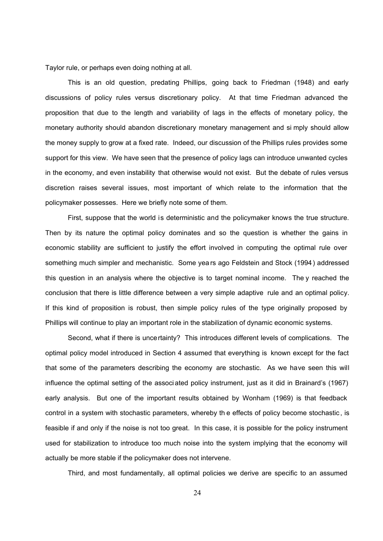Taylor rule, or perhaps even doing nothing at all.

This is an old question, predating Phillips, going back to Friedman (1948) and early discussions of policy rules versus discretionary policy. At that time Friedman advanced the proposition that due to the length and variability of lags in the effects of monetary policy, the monetary authority should abandon discretionary monetary management and si mply should allow the money supply to grow at a fixed rate. Indeed, our discussion of the Phillips rules provides some support for this view. We have seen that the presence of policy lags can introduce unwanted cycles in the economy, and even instability that otherwise would not exist. But the debate of rules versus discretion raises several issues, most important of which relate to the information that the policymaker possesses. Here we briefly note some of them.

First, suppose that the world is deterministic and the policymaker knows the true structure. Then by its nature the optimal policy dominates and so the question is whether the gains in economic stability are sufficient to justify the effort involved in computing the optimal rule over something much simpler and mechanistic. Some yea rs ago Feldstein and Stock (1994) addressed this question in an analysis where the objective is to target nominal income. The y reached the conclusion that there is little difference between a very simple adaptive rule and an optimal policy. If this kind of proposition is robust, then simple policy rules of the type originally proposed by Phillips will continue to play an important role in the stabilization of dynamic economic systems.

Second, what if there is uncertainty? This introduces different levels of complications. The optimal policy model introduced in Section 4 assumed that everything is known except for the fact that some of the parameters describing the economy are stochastic. As we have seen this will influence the optimal setting of the associ ated policy instrument, just as it did in Brainard's (1967) early analysis. But one of the important results obtained by Wonham (1969) is that feedback control in a system with stochastic parameters, whereby th e effects of policy become stochastic , is feasible if and only if the noise is not too great. In this case, it is possible for the policy instrument used for stabilization to introduce too much noise into the system implying that the economy will actually be more stable if the policymaker does not intervene.

Third, and most fundamentally, all optimal policies we derive are specific to an assumed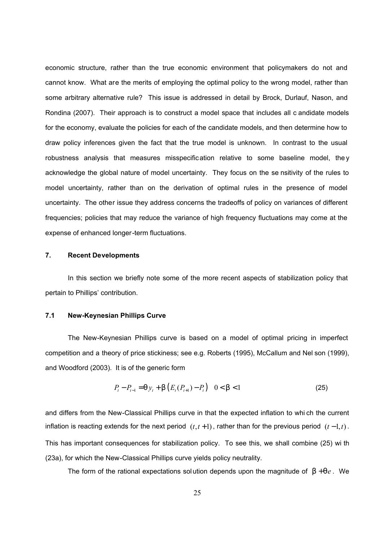economic structure, rather than the true economic environment that policymakers do not and cannot know. What are the merits of employing the optimal policy to the wrong model, rather than some arbitrary alternative rule? This issue is addressed in detail by Brock, Durlauf, Nason, and Rondina (2007). Their approach is to construct a model space that includes all c andidate models for the economy, evaluate the policies for each of the candidate models, and then determine how to draw policy inferences given the fact that the true model is unknown. In contrast to the usual robustness analysis that measures misspecification relative to some baseline model, the y acknowledge the global nature of model uncertainty. They focus on the se nsitivity of the rules to model uncertainty, rather than on the derivation of optimal rules in the presence of model uncertainty. The other issue they address concerns the tradeoffs of policy on variances of different frequencies; policies that may reduce the variance of high frequency fluctuations may come at the expense of enhanced longer-term fluctuations.

## **7. Recent Developments**

In this section we briefly note some of the more recent aspects of stabilization policy that pertain to Phillips' contribution.

## **7.1 New-Keynesian Phillips Curve**

The New-Keynesian Phillips curve is based on a model of optimal pricing in imperfect competition and a theory of price stickiness; see e.g. Roberts (1995), McCallum and Nel son (1999), and Woodford (2003). It is of the generic form

$$
P_{t} - P_{t-1} = q y_{t} + b \left( E_{t}(P_{t+1}) - P_{t} \right) \quad 0 < b < 1
$$
 (25)

and differs from the New-Classical Phillips curve in that the expected inflation to whi ch the current inflation is reacting extends for the next period  $(t, t+1)$ , rather than for the previous period  $(t-1, t)$ . This has important consequences for stabilization policy. To see this, we shall combine (25) wi th (23a), for which the New-Classical Phillips curve yields policy neutrality.

The form of the rational expectations solution depends upon the magnitude of  $b + qe$ . We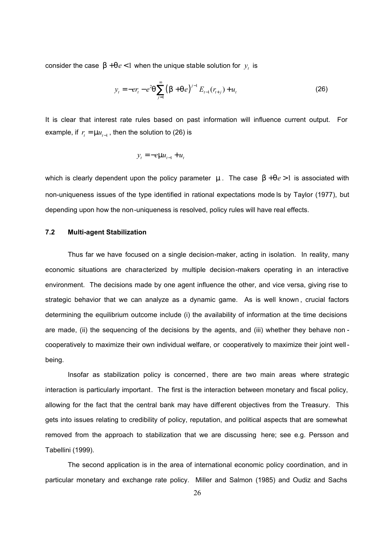consider the case  $b + qe < 1$  when the unique stable solution for  $y_t$  is

$$
y_t = -er_t - e^2 q \sum_{j=1}^{\infty} (b + q e)^{j-1} E_{t-1}(r_{t+j}) + u_t
$$
 (26)

It is clear that interest rate rules based on past information will influence current output. For example, if  $r_{t} = \mu_{t-1}$ , then the solution to (26) is

$$
y_t = -e\mathfrak{m}u_{t-1} + u_t
$$

which is clearly dependent upon the policy parameter *m* . The case *b* +*qe* >1 is associated with non-uniqueness issues of the type identified in rational expectations mode ls by Taylor (1977), but depending upon how the non-uniqueness is resolved, policy rules will have real effects.

## **7.2 Multi-agent Stabilization**

Thus far we have focused on a single decision-maker, acting in isolation. In reality, many economic situations are characterized by multiple decision-makers operating in an interactive environment. The decisions made by one agent influence the other, and vice versa, giving rise to strategic behavior that we can analyze as a dynamic game. As is well known , crucial factors determining the equilibrium outcome include (i) the availability of information at the time decisions are made, (ii) the sequencing of the decisions by the agents, and (iii) whether they behave non cooperatively to maximize their own individual welfare, or cooperatively to maximize their joint wellbeing.

Insofar as stabilization policy is concerned , there are two main areas where strategic interaction is particularly important. The first is the interaction between monetary and fiscal policy, allowing for the fact that the central bank may have different objectives from the Treasury. This gets into issues relating to credibility of policy, reputation, and political aspects that are somewhat removed from the approach to stabilization that we are discussing here; see e.g. Persson and Tabellini (1999).

The second application is in the area of international economic policy coordination, and in particular monetary and exchange rate policy. Miller and Salmon (1985) and Oudiz and Sachs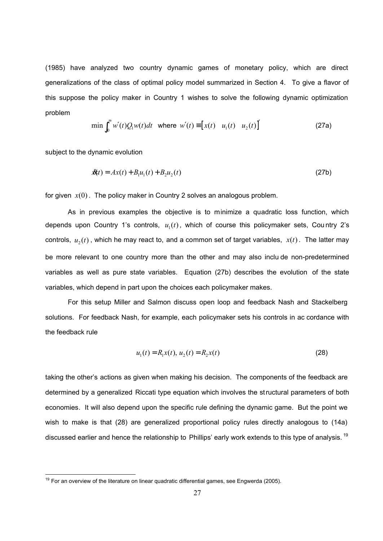(1985) have analyzed two country dynamic games of monetary policy, which are direct generalizations of the class of optimal policy model summarized in Section 4. To give a flavor of this suppose the policy maker in Country 1 wishes to solve the following dynamic optimization problem

$$
\min \int_0^\infty w'(t)Q_1w(t)dt \quad \text{where} \quad w'(t) \equiv \begin{bmatrix} x(t) & u_1(t) & u_2(t) \end{bmatrix}' \tag{27a}
$$

subject to the dynamic evolution

 $\overline{\phantom{a}}$ 

$$
\mathcal{X}(t) = Ax(t) + B_1 u_1(t) + B_2 u_2(t)
$$
\n(27b)

for given  $x(0)$ . The policy maker in Country 2 solves an analogous problem.

As in previous examples the objective is to minimize a quadratic loss function, which depends upon Country 1's controls,  $u_1(t)$ , which of course this policymaker sets, Country 2's controls,  $u_2(t)$  , which he may react to, and a common set of target variables,  $x(t)$ . The latter may be more relevant to one country more than the other and may also inclu de non-predetermined variables as well as pure state variables. Equation (27b) describes the evolution of the state variables, which depend in part upon the choices each policymaker makes.

For this setup Miller and Salmon discuss open loop and feedback Nash and Stackelberg solutions. For feedback Nash, for example, each policymaker sets his controls in ac cordance with the feedback rule

$$
u_1(t) = R_1 x(t), \, u_2(t) = R_2 x(t) \tag{28}
$$

taking the other's actions as given when making his decision. The components of the feedback are determined by a generalized Riccati type equation which involves the structural parameters of both economies. It will also depend upon the specific rule defining the dynamic game. But the point we wish to make is that (28) are generalized proportional policy rules directly analogous to (14a) discussed earlier and hence the relationship to Phillips' early work extends to this type of analysis. <sup>19</sup>

<sup>&</sup>lt;sup>19</sup> For an overview of the literature on linear quadratic differential games, see Engwerda (2005).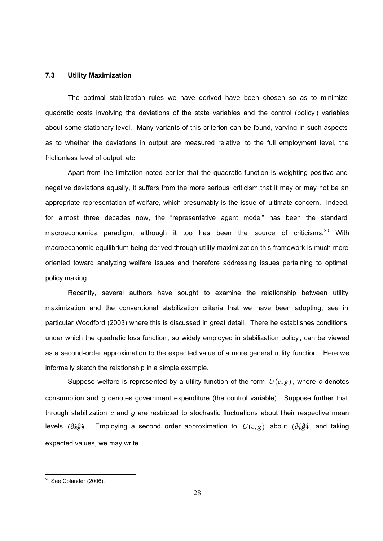## **7.3 Utility Maximization**

The optimal stabilization rules we have derived have been chosen so as to minimize quadratic costs involving the deviations of the state variables and the control (policy ) variables about some stationary level. Many variants of this criterion can be found, varying in such aspects as to whether the deviations in output are measured relative to the full employment level, the frictionless level of output, etc.

Apart from the limitation noted earlier that the quadratic function is weighting positive and negative deviations equally, it suffers from the more serious criticism that it may or may not be an appropriate representation of welfare, which presumably is the issue of ultimate concern. Indeed, for almost three decades now, the "representative agent model" has been the standard macroeconomics paradigm, although it too has been the source of criticisms.<sup>20</sup> With macroeconomic equilibrium being derived through utility maximi zation this framework is much more oriented toward analyzing welfare issues and therefore addressing issues pertaining to optimal policy making.

Recently, several authors have sought to examine the relationship between utility maximization and the conventional stabilization criteria that we have been adopting; see in particular Woodford (2003) where this is discussed in great detail. There he establishes conditions under which the quadratic loss function, so widely employed in stabilization policy , can be viewed as a second-order approximation to the expected value of a more general utility function. Here we informally sketch the relationship in a simple example.

Suppose welfare is represented by a utility function of the form  $U(c, g)$ , where c denotes consumption and *g* denotes government expenditure (the control variable). Suppose further that through stabilization *c* and *g* are restricted to stochastic fluctuations about their respective mean levels (*c*%%, *g*) . Employing a second order approximation to *U*(*c*, *g*) about (*c*%%, *g*) , and taking expected values, we may write

 $\overline{\phantom{a}}$ 

<sup>&</sup>lt;sup>20</sup> See Colander (2006).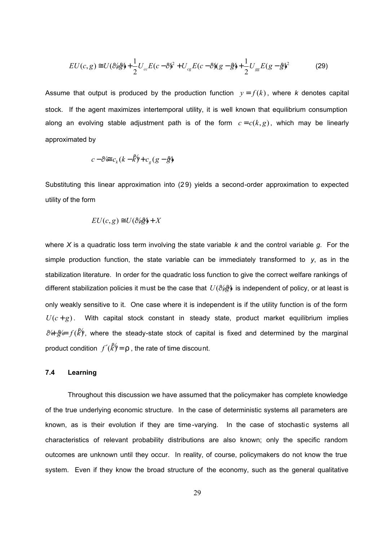$$
EU(c,g) \cong U(\mathcal{E}/\mathcal{E}) + \frac{1}{2}U_{cc}E(c-\mathcal{E})^2 + U_{cg}E(c-\mathcal{E})(g-\mathcal{E}) + \frac{1}{2}U_{gg}E(g-\mathcal{E})^2
$$
(29)

Assume that output is produced by the production function  $y = f(k)$ , where *k* denotes capital stock. If the agent maximizes intertemporal utility, it is well known that equilibrium consumption along an evolving stable adjustment path is of the form  $c = c(k, g)$ , which may be linearly approximated by

$$
c - \mathcal{C} \in c_k (k - k') + c_g (g - \frac{\omega}{2})
$$

Substituting this linear approximation into (2 9) yields a second-order approximation to expected utility of the form

$$
EU(c, g) \cong U(\mathcal{C}\llap{/}{\mathcal{G}\llap{/}{\mathcal{G}\llap{/}}\mathcal{F}\llap{/}{+X}
$$

where *X* is a quadratic loss term involving the state variable *k* and the control variable *g*. For the simple production function, the state variable can be immediately transformed to *y*, as in the stabilization literature. In order for the quadratic loss function to give the correct welfare rankings of different stabilization policies it must be the case that  $U(\ell\lll\psi)$  is independent of policy, or at least is only weakly sensitive to it. One case where it is independent is if the utility function is of the form  $U(c+g)$ . With capital stock constant in steady state, product market equilibrium implies  $\mathcal{C}$   $\phi$   $\phi$  *f* ( $\mathcal{K}$ ), where the steady-state stock of capital is fixed and determined by the marginal product condition  $f'(\hat{k}) = r$ , the rate of time discount.

## **7.4 Learning**

Throughout this discussion we have assumed that the policymaker has complete knowledge of the true underlying economic structure. In the case of deterministic systems all parameters are known, as is their evolution if they are time-varying. In the case of stochastic systems all characteristics of relevant probability distributions are also known; only the specific random outcomes are unknown until they occur. In reality, of course, policymakers do not know the true system. Even if they know the broad structure of the economy, such as the general qualitative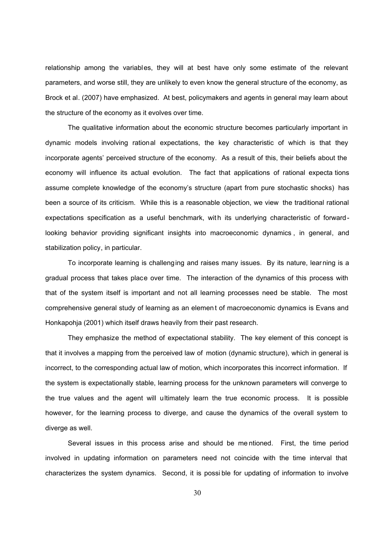relationship among the variables, they will at best have only some estimate of the relevant parameters, and worse still, they are unlikely to even know the general structure of the economy, as Brock et al. (2007) have emphasized. At best, policymakers and agents in general may learn about the structure of the economy as it evolves over time.

The qualitative information about the economic structure becomes particularly important in dynamic models involving rational expectations, the key characteristic of which is that they incorporate agents' perceived structure of the economy. As a result of this, their beliefs about the economy will influence its actual evolution. The fact that applications of rational expecta tions assume complete knowledge of the economy's structure (apart from pure stochastic shocks) has been a source of its criticism. While this is a reasonable objection, we view the traditional rational expectations specification as a useful benchmark, with its underlying characteristic of forwardlooking behavior providing significant insights into macroeconomic dynamics , in general, and stabilization policy, in particular.

To incorporate learning is challenging and raises many issues. By its nature, learning is a gradual process that takes place over time. The interaction of the dynamics of this process with that of the system itself is important and not all learning processes need be stable. The most comprehensive general study of learning as an elemen t of macroeconomic dynamics is Evans and Honkapohja (2001) which itself draws heavily from their past research.

They emphasize the method of expectational stability. The key element of this concept is that it involves a mapping from the perceived law of motion (dynamic structure), which in general is incorrect, to the corresponding actual law of motion, which incorporates this incorrect information. If the system is expectationally stable, learning process for the unknown parameters will converge to the true values and the agent will ultimately learn the true economic process. It is possible however, for the learning process to diverge, and cause the dynamics of the overall system to diverge as well.

Several issues in this process arise and should be me ntioned. First, the time period involved in updating information on parameters need not coincide with the time interval that characterizes the system dynamics. Second, it is possi ble for updating of information to involve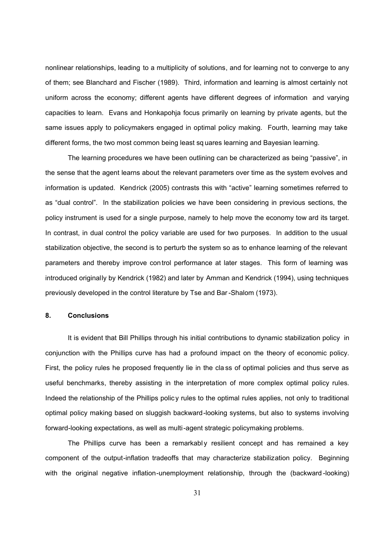nonlinear relationships, leading to a multiplicity of solutions, and for learning not to converge to any of them; see Blanchard and Fischer (1989). Third, information and learning is almost certainly not uniform across the economy; different agents have different degrees of information and varying capacities to learn. Evans and Honkapohja focus primarily on learning by private agents, but the same issues apply to policymakers engaged in optimal policy making. Fourth, learning may take different forms, the two most common being least sq uares learning and Bayesian learning.

The learning procedures we have been outlining can be characterized as being "passive", in the sense that the agent learns about the relevant parameters over time as the system evolves and information is updated. Kendrick (2005) contrasts this with "active" learning sometimes referred to as "dual control". In the stabilization policies we have been considering in previous sections, the policy instrument is used for a single purpose, namely to help move the economy tow ard its target. In contrast, in dual control the policy variable are used for two purposes. In addition to the usual stabilization objective, the second is to perturb the system so as to enhance learning of the relevant parameters and thereby improve control performance at later stages. This form of learning was introduced originally by Kendrick (1982) and later by Amman and Kendrick (1994), using techniques previously developed in the control literature by Tse and Bar -Shalom (1973).

## **8. Conclusions**

It is evident that Bill Phillips through his initial contributions to dynamic stabilization policy in conjunction with the Phillips curve has had a profound impact on the theory of economic policy. First, the policy rules he proposed frequently lie in the cla ss of optimal policies and thus serve as useful benchmarks, thereby assisting in the interpretation of more complex optimal policy rules. Indeed the relationship of the Phillips polic y rules to the optimal rules applies, not only to traditional optimal policy making based on sluggish backward-looking systems, but also to systems involving forward-looking expectations, as well as multi-agent strategic policymaking problems.

The Phillips curve has been a remarkably resilient concept and has remained a key component of the output-inflation tradeoffs that may characterize stabilization policy. Beginning with the original negative inflation-unemployment relationship, through the (backward -looking)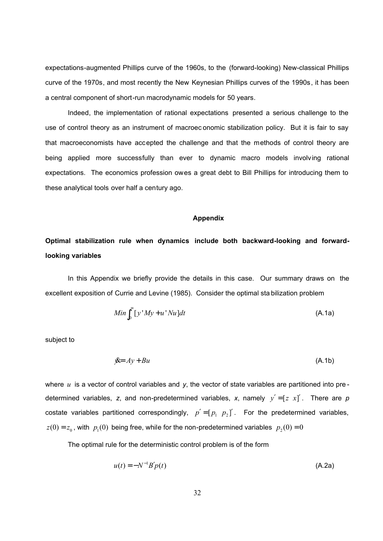expectations-augmented Phillips curve of the 1960s, to the (forward-looking) New-classical Phillips curve of the 1970s, and most recently the New Keynesian Phillips curves of the 1990s, it has been a central component of short-run macrodynamic models for 50 years.

Indeed, the implementation of rational expectations presented a serious challenge to the use of control theory as an instrument of macroec onomic stabilization policy. But it is fair to say that macroeconomists have accepted the challenge and that the methods of control theory are being applied more successfully than ever to dynamic macro models involving rational expectations. The economics profession owes a great debt to Bill Phillips for introducing them to these analytical tools over half a century ago.

#### **Appendix**

# **Optimal stabilization rule when dynamics include both backward-looking and forwardlooking variables**

In this Appendix we briefly provide the details in this case. Our summary draws on the excellent exposition of Currie and Levine (1985). Consider the optimal sta bilization problem

$$
Min \int_0^\infty [y'My + u'Nu] dt
$$
 (A.1a)

subject to

$$
\mathcal{L} = Ay + Bu \tag{A.1b}
$$

where *u* is a vector of control variables and *y*, the vector of state variables are partitioned into pre determined variables, z, and non-predetermined variables, x, namely  $y' = [z \ x]'$ . There are  $p$ costate variables partitioned correspondingly,  $p' = [p_1 \ p_2]'$ . For the predetermined variables,  $z(0) = z_0$ , with  $p_1(0)$  being free, while for the non-predetermined variables  $p_2(0) = 0$ 

The optimal rule for the deterministic control problem is of the form

$$
u(t) = -N^{-1}B'p(t)
$$
 (A.2a)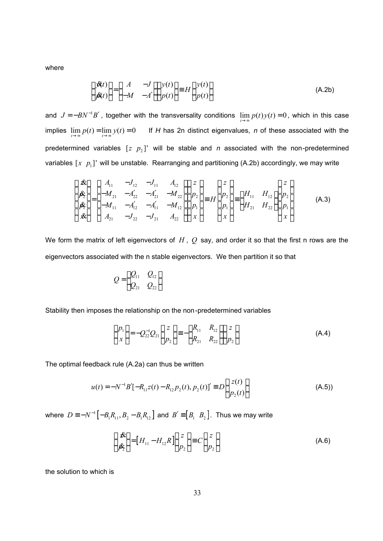where

$$
\begin{pmatrix} \mathcal{B}(t) \\ \mathcal{B}(t) \end{pmatrix} = \begin{pmatrix} A & -J \\ -M & -A' \end{pmatrix} \begin{pmatrix} y(t) \\ p(t) \end{pmatrix} \equiv H \begin{pmatrix} y(t) \\ p(t) \end{pmatrix}
$$
 (A.2b)

and  $J = -BN^{-1}B'$ , together with the transversality conditions  $\lim_{t\to\infty} p(t)y(t) = 0$ , which in this case implies  $\lim_{t\to\infty} p(t) = \lim_{t\to\infty} y(t) = 0$  If *H* has 2n distinct eigenvalues, *n* of these associated with the predetermined variables  $[z \ p_2]'$  will be stable and *n* associated with the non-predetermined variables  $\left[x \;\; p_{_{1}}\right]$ ' will be unstable. Rearranging and partitioning (A.2b) accordingly, we may write

$$
\begin{pmatrix} \mathbf{\hat{x}} \\ \mathbf{\hat{p}}_2^* \\ \mathbf{\hat{p}}_1^* \\ \mathbf{\hat{x}} \end{pmatrix} = \begin{pmatrix} A_{11} & -J_{12} & -J_{11} & A_{12} \\ -M_{21} & -A_{22}' & -A_{21}' & -M_{22} \\ -M_{11} & -A_{12}' & -A_{11}' & -M_{12} \\ A_{21} & -J_{22} & -J_{21} & A_{22} \end{pmatrix} \begin{pmatrix} z \\ p_2 \\ p_1 \\ x \end{pmatrix} \equiv H \begin{pmatrix} z \\ p_2 \\ p_1 \\ x \end{pmatrix} = \begin{pmatrix} H_{11} & H_{12} \\ H_{21} & H_{22} \\ x \end{pmatrix} \begin{pmatrix} z \\ p_2 \\ p_1 \\ x \end{pmatrix}
$$
 (A.3)

We form the matrix of left eigenvectors of *H* , *Q* say, and order it so that the first n rows are the eigenvectors associated with the n stable eigenvectors. We then partition it so that

$$
Q = \begin{pmatrix} Q_{11} & Q_{12} \\ Q_{21} & Q_{22} \end{pmatrix}
$$

Stability then imposes the relationship on the non-predetermined variables

$$
\begin{pmatrix} P_1 \\ x \end{pmatrix} = -Q_{22}^{-1} Q_{21} \begin{pmatrix} z \\ p_2 \end{pmatrix} = - \begin{pmatrix} R_{11} & R_{12} \\ R_{21} & R_{22} \end{pmatrix} \begin{pmatrix} z \\ p_2 \end{pmatrix}
$$
 (A.4)

The optimal feedback rule (A.2a) can thus be written

$$
u(t) = -N^{-1}B'[ - R_{11}z(t) - R_{12}p_2(t), p_2(t)]' \equiv D\left(\frac{z(t)}{p_2(t)}\right)
$$
(A.5)

where  $D \equiv -N^{-1}\bigl[-B_{\text{i}} R_{\text{i1}}, B_{\text{2}}-B_{\text{i}} R_{\text{i2}}\bigr]$  and  $B'\!\equiv\!\bigl[B_{\text{i}}\;\;B_{\text{2}}\bigr]$ . Thus we may write

$$
\begin{pmatrix} \mathbf{\hat{x}} \\ \mathbf{\hat{y}}_2 \end{pmatrix} = [H_{11} - H_{12}R] \begin{pmatrix} z \\ p_2 \end{pmatrix} \equiv C \begin{pmatrix} z \\ p_2 \end{pmatrix}
$$
\n(A.6)

the solution to which is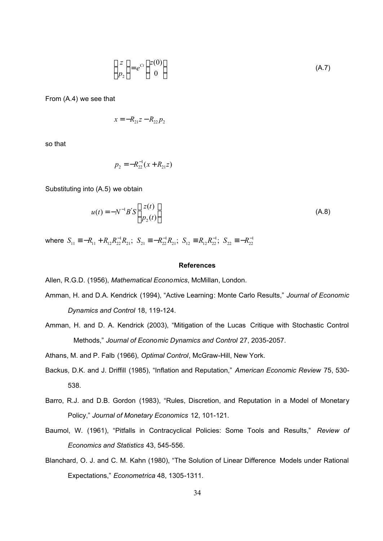$$
\begin{pmatrix} z \\ p_2 \end{pmatrix} = e^{Ct} \begin{pmatrix} z(0) \\ 0 \end{pmatrix}
$$
 (A.7)

From (A.4) we see that

$$
x = -R_{21}z - R_{22}p_2
$$

so that

$$
p_2 = -R_{22}^{-1}(x + R_{21}z)
$$

Substituting into (A.5) we obtain

$$
u(t) = -N^{-1}B'S \begin{pmatrix} z(t) \\ p_2(t) \end{pmatrix}
$$
 (A.8)

where  $S_{11} \equiv -R_{11} + R_{12}R_{22}^{-1}R_{21}$ ;  $S_{21} \equiv -R_{22}^{-1}R_{21}$ ;  $S_{12} \equiv R_{12}R_{22}^{-1}$ ;  $S_{22} \equiv -R_{22}^{-1}$ 

#### **References**

Allen, R.G.D. (1956), *Mathematical Economics*, McMillan, London.

- Amman, H. and D.A. Kendrick (1994), "Active Learning: Monte Carlo Results," *Journal of Economic Dynamics and Control* 18, 119-124.
- Amman, H. and D. A. Kendrick (2003), "Mitigation of the Lucas Critique with Stochastic Control Methods," *Journal of Economic Dynamics and Control* 27, 2035-2057.

Athans, M. and P. Falb (1966), *Optimal Control*, McGraw-Hill, New York.

- Backus, D.K. and J. Driffill (1985), "Inflation and Reputation," *American Economic Review* 75, 530- 538.
- Barro, R.J. and D.B. Gordon (1983), "Rules, Discretion, and Reputation in a Model of Monetary Policy," *Journal of Monetary Economics* 12, 101-121.
- Baumol, W. (1961), "Pitfalls in Contracyclical Policies: Some Tools and Results," *Review of Economics and Statistics* 43, 545-556.
- Blanchard, O. J. and C. M. Kahn (1980), "The Solution of Linear Difference Models under Rational Expectations," *Econometrica* 48, 1305-1311.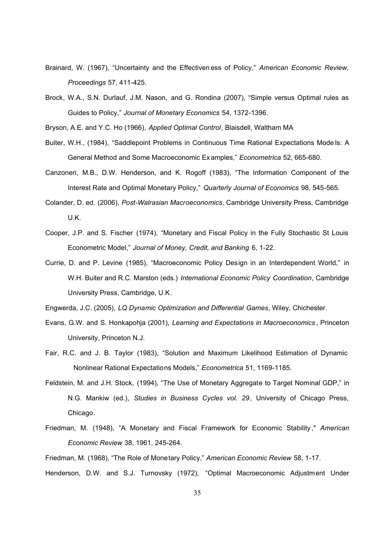- Brainard, W. (1967), "Uncertainty and the Effectiven ess of Policy," *American Economic Review, Proceedings* 57, 411-425.
- Brock, W.A., S.N. Durlauf, J.M. Nason, and G. Rondina (2007), "Simple versus Optimal rules as Guides to Policy," *Journal of Monetary Economics* 54, 1372-1396.

Bryson, A.E. and Y.C. Ho (1966), *Applied Optimal Control*, Blaisdell, Waltham MA

- Buiter, W.H., (1984), "Saddlepoint Problems in Continuous Time Rational Expectations Mode ls: A General Method and Some Macroeconomic Ex amples," *Econometrica* 52, 665-680.
- Canzoneri, M.B., D.W. Henderson, and K. Rogoff (1983), "The Information Component of the Interest Rate and Optimal Monetary Policy," *Quarterly Journal of Economics* 98, 545-565.
- Colander, D. ed. (2006), *Post-Walrasian Macroeconomics*, Cambridge University Press, Cambridge U.K.
- Cooper, J.P. and S. Fischer (1974), "Monetary and Fiscal Policy in the Fully Stochastic St Louis Econometric Model," *Journal of Money, Credit, and Banking* 6, 1-22.
- Currie, D. and P. Levine (1985), "Macroeconomic Policy Design in an Interdependent World," in W.H. Buiter and R.C. Marston (eds.) *International Economic Policy Coordination*, Cambridge University Press, Cambridge, U.K.

Engwerda, J.C. (2005), *LQ Dynamic Optimization and Differential Games*, Wiley, Chichester.

- Evans, G.W. and S. Honkapohja (2001), *Learning and Expectations in Macroeconomics* , Princeton University, Princeton N.J.
- Fair, R.C. and J. B. Taylor (1983), "Solution and Maximum Likelihood Estimation of Dynamic Nonlinear Rational Expectations Models," *Econometrica* 51, 1169-1185.
- Feldstein, M. and J.H. Stock, (1994), "The Use of Monetary Aggregate to Target Nominal GDP," in N.G. Mankiw (ed.), *Studies in Business Cycles vol. 29*, University of Chicago Press, Chicago.
- Friedman, M. (1948), "A Monetary and Fiscal Framework for Economic Stability ," *American Economic Review* 38, 1961, 245-264.

Friedman, M. (1968), "The Role of Monetary Policy," *American Economic Review* 58, 1-17. Henderson, D.W. and S.J. Turnovsky (1972), "Optimal Macroeconomic Adjustment Under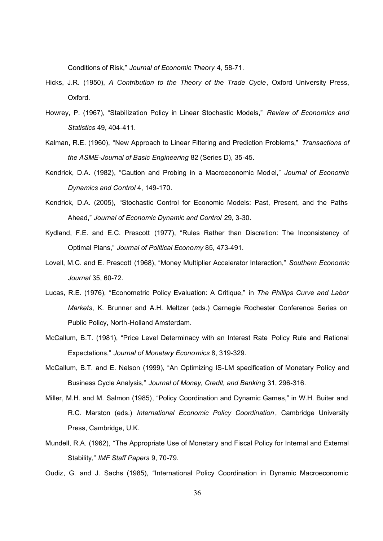Conditions of Risk," *Journal of Economic Theory* 4, 58-71.

- Hicks, J.R. (1950), *A Contribution to the Theory of the Trade Cycle*, Oxford University Press, Oxford.
- Howrey, P. (1967), "Stabilization Policy in Linear Stochastic Models," *Review of Economics and Statistics* 49, 404-411.
- Kalman, R.E. (1960), "New Approach to Linear Filtering and Prediction Problems," *Transactions of the ASME-Journal of Basic Engineering* 82 (Series D), 35-45.
- Kendrick, D.A. (1982), "Caution and Probing in a Macroeconomic Model," *Journal of Economic Dynamics and Control* 4, 149-170.
- Kendrick, D.A. (2005), "Stochastic Control for Economic Models: Past, Present, and the Paths Ahead," *Journal of Economic Dynamic and Control* 29, 3-30.
- Kydland, F.E. and E.C. Prescott (1977), "Rules Rather than Discretion: The Inconsistency of Optimal Plans," *Journal of Political Economy* 85, 473-491.
- Lovell, M.C. and E. Prescott (1968), "Money Multiplier Accelerator Interaction," *Southern Economic Journal* 35, 60-72.
- Lucas, R.E. (1976), "Econometric Policy Evaluation: A Critique," in *The Phillips Curve and Labor Markets*, K. Brunner and A.H. Meltzer (eds.) Carnegie Rochester Conference Series on Public Policy, North-Holland Amsterdam.
- McCallum, B.T. (1981), "Price Level Determinacy with an Interest Rate Policy Rule and Rational Expectations," *Journal of Monetary Economics* 8, 319-329.
- McCallum, B.T. and E. Nelson (1999), "An Optimizing IS-LM specification of Monetary Policy and Business Cycle Analysis," *Journal of Money, Credit, and Bankin*g 31, 296-316.
- Miller, M.H. and M. Salmon (1985), "Policy Coordination and Dynamic Games," in W.H. Buiter and R.C. Marston (eds.) *International Economic Policy Coordination*, Cambridge University Press, Cambridge, U.K.
- Mundell, R.A. (1962), "The Appropriate Use of Monetary and Fiscal Policy for Internal and External Stability," *IMF Staff Papers* 9, 70-79.
- Oudiz, G. and J. Sachs (1985), "International Policy Coordination in Dynamic Macroeconomic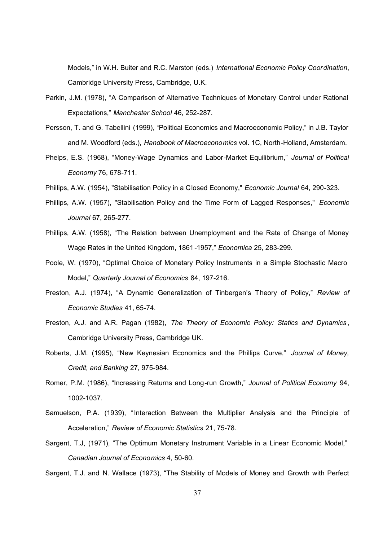Models," in W.H. Buiter and R.C. Marston (eds.) *International Economic Policy Coordination*, Cambridge University Press, Cambridge, U.K.

- Parkin, J.M. (1978), "A Comparison of Alternative Techniques of Monetary Control under Rational Expectations," *Manchester School* 46, 252-287.
- Persson, T. and G. Tabellini (1999), "Political Economics and Macroeconomic Policy," in J.B. Taylor and M. Woodford (eds.), *Handbook of Macroeconomics* vol. 1C, North-Holland, Amsterdam.
- Phelps, E.S. (1968), "Money-Wage Dynamics and Labor-Market Equilibrium," *Journal of Political Economy* 76, 678-711.
- Phillips, A.W. (1954), "Stabilisation Policy in a Closed Economy," *Economic Journal* 64, 290-323.
- Phillips, A.W. (1957), "Stabilisation Policy and the Time Form of Lagged Responses," *Economic Journal* 67, 265-277.
- Phillips, A.W. (1958), "The Relation between Unemployment and the Rate of Change of Money Wage Rates in the United Kingdom, 1861-1957," *Economica* 25, 283-299.
- Poole, W. (1970), "Optimal Choice of Monetary Policy Instruments in a Simple Stochastic Macro Model," *Quarterly Journal of Economics* 84, 197-216.
- Preston, A.J. (1974), "A Dynamic Generalization of Tinbergen's Theory of Policy," *Review of Economic Studies* 41, 65-74.
- Preston, A.J. and A.R. Pagan (1982), *The Theory of Economic Policy: Statics and Dynamics* , Cambridge University Press, Cambridge UK.
- Roberts, J.M. (1995), "New Keynesian Economics and the Phillips Curve," *Journal of Money, Credit, and Banking* 27, 975-984.
- Romer, P.M. (1986), "Increasing Returns and Long-run Growth," *Journal of Political Economy* 94, 1002-1037.
- Samuelson, P.A. (1939), "Interaction Between the Multiplier Analysis and the Princi ple of Acceleration," *Review of Economic Statistics* 21, 75-78.
- Sargent, T.J, (1971), "The Optimum Monetary Instrument Variable in a Linear Economic Model," *Canadian Journal of Economics* 4, 50-60.

Sargent, T.J. and N. Wallace (1973), "The Stability of Models of Money and Growth with Perfect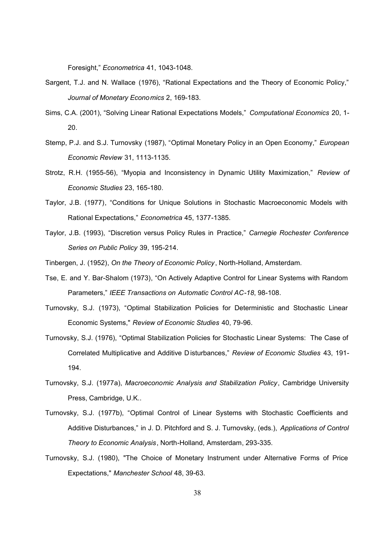Foresight," *Econometrica* 41, 1043-1048.

- Sargent, T.J. and N. Wallace (1976), "Rational Expectations and the Theory of Economic Policy," *Journal of Monetary Economics* 2, 169-183.
- Sims, C.A. (2001), "Solving Linear Rational Expectations Models," *Computational Economics* 20, 1- 20.
- Stemp, P.J. and S.J. Turnovsky (1987), "Optimal Monetary Policy in an Open Economy," *European Economic Review* 31, 1113-1135.
- Strotz, R.H. (1955-56), "Myopia and Inconsistency in Dynamic Utility Maximization," *Review of Economic Studies* 23, 165-180.
- Taylor, J.B. (1977), "Conditions for Unique Solutions in Stochastic Macroeconomic Models with Rational Expectations," *Econometrica* 45, 1377-1385.
- Taylor, J.B. (1993), "Discretion versus Policy Rules in Practice," *Carnegie Rochester Conference Series on Public Policy* 39, 195-214.
- Tinbergen, J. (1952), *On the Theory of Economic Policy*, North-Holland, Amsterdam.
- Tse, E. and Y. Bar-Shalom (1973), "On Actively Adaptive Control for Linear Systems with Random Parameters," *IEEE Transactions on Automatic Control AC-18*, 98-108.
- Turnovsky, S.J. (1973), "Optimal Stabilization Policies for Deterministic and Stochastic Linear Economic Systems," *Review of Economic Studies* 40, 79-96.
- Turnovsky, S.J. (1976), "Optimal Stabilization Policies for Stochastic Linear Systems: The Case of Correlated Multiplicative and Additive D isturbances," *Review of Economic Studies* 43, 191- 194.
- Turnovsky, S.J. (1977a), *Macroeconomic Analysis and Stabilization Policy*, Cambridge University Press, Cambridge, U.K..
- Turnovsky, S.J. (1977b), "Optimal Control of Linear Systems with Stochastic Coefficients and Additive Disturbances," in J. D. Pitchford and S. J. Turnovsky, (eds.), *Applications of Control Theory to Economic Analysis*, North-Holland, Amsterdam, 293-335.
- Turnovsky, S.J. (1980), "The Choice of Monetary Instrument under Alternative Forms of Price Expectations," *Manchester School* 48, 39-63.